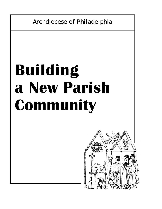Archdiocese of Philadelphia

# **Building a New Parish Community**

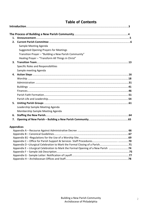## **Table of Contents**

| 1. |                                                                                   |  |
|----|-----------------------------------------------------------------------------------|--|
| 2. |                                                                                   |  |
|    | Sample Meeting Agenda                                                             |  |
|    | <b>Suggested Opening Prayers for Meetings</b>                                     |  |
|    | Transition Prayer - "Building a New Parish Community"                             |  |
|    | Healing Prayer - "Transform All Things in Christ"                                 |  |
| 3. |                                                                                   |  |
|    | Specific Roles and Responsibilities                                               |  |
|    | Sample meeting Agenda                                                             |  |
| 4. |                                                                                   |  |
|    |                                                                                   |  |
|    |                                                                                   |  |
|    |                                                                                   |  |
|    |                                                                                   |  |
|    |                                                                                   |  |
|    |                                                                                   |  |
| 5. |                                                                                   |  |
|    | Leadership Sample Meeting Agenda                                                  |  |
|    | Membership Sample Meeting Agenda                                                  |  |
| 6. |                                                                                   |  |
| 7. |                                                                                   |  |
|    | <b>Appendices</b>                                                                 |  |
|    |                                                                                   |  |
|    |                                                                                   |  |
|    |                                                                                   |  |
|    |                                                                                   |  |
|    | Appendix E - Liturgical Celebration to Mark the Formal Opening of a New Parish 74 |  |
|    |                                                                                   |  |
|    |                                                                                   |  |
|    |                                                                                   |  |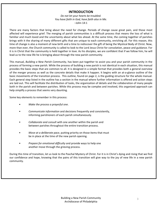## **INTRODUCTION**

*Do not let your hearts be troubled. You have faith in God, have faith also in Me.* –John 14:1

There are many factors that bring about the need for change. Periods of change cause great pain, and those most affected will experience grief. The merging of parish communities is a difficult process that means the loss of what is familiar and much loved and the uncertainty about what lies ahead. At the same time, the coming together of parishes brings with it the sharing of many different gifts that are unique to each community, enriching all. For this reason, this time of change is also a moment of new birth and a time to rediscover the gift of being the Mystical Body of Christ. Now, more than ever, the Church community is called to look to the Lord Jesus Christ for consolation, peace and guidance. For it is in Christ that the community is held together in love. As his disciples, we are confident that if we follow him, he will lead us to the new life he is bringing about through the new parish community.

This manual, *Building a New Parish Community*, has been put together to assist you and your parish community in the process of forming a new parish. While the process of building a new parish is not identical in each situation, this manual provides the basic steps that are common to all. It is designed in a simple format that provides both a general overview of the merger process as well as the concrete details that make it happen. It begins with an at‐a‐glance outline of the basic movements of the transition process. This outline, found on page 2, is the guiding structure for the whole manual. Each general step listed in the outline has a section in the manual where further information is offered and action steps are laid out. This will facilitate the distribution of tasks, the organization of details and the collaboration of many people both in the parish and between parishes. While this process may be complex and involved, this organized approach can help simplify a process that seems very daunting.

Some key elements to remember in this process:

- *Make the process a prayerful one*.
- *Communicate information* and decisions frequently and consistently, informing parishioners of each parish simultaneously.
- *Collaborate and consult* with one another within the parish and between parishes throughout the entire transition process.
- *Move at a deliberate pace*, putting priority on those items that must be in place at the time of the new parish opening.
- *Prepare for emotional difficulty* and provide ways to help one another move through the grieving process.

During this time of transition, let us look to the Paschal Mystery of Christ. For it is in Christ's dying and rising that we find our confidence and hope, knowing that the pains of this transition will give way to the joy of new life in a new parish community.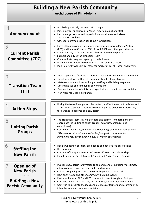# *Building a New Parish Community*

**Archdiocese of Philadelphia** 

| Announcement                                                                        | Archbishop officially decrees parish mergers<br>٠<br>Parish merger announced to Parish Pastoral Council and staff<br>Parish merger announced to parishioners at all weekend Masses<br>and in parish Bulletin<br>Office for Communication sends out News Release                                                                                                                                                                                                                                                                              |
|-------------------------------------------------------------------------------------|----------------------------------------------------------------------------------------------------------------------------------------------------------------------------------------------------------------------------------------------------------------------------------------------------------------------------------------------------------------------------------------------------------------------------------------------------------------------------------------------------------------------------------------------|
| $\overline{2}$<br><b>Current Parish</b><br>Committee (CPC)                          | Form CPC composed of Pastor and representatives from Parish Pastoral<br>$\bullet$<br>(PPC) and Finance Councils (PFC), School, PREP and other parish leaders<br>Meet regularly to facilitate a smooth transition to new parish<br>Support and advise the Transition Team<br>Communicate progress regularly to parishioners<br>Provide opportunities to celebrate past and embrace future<br>Plan Healing Prayer Service, Mass for merger of parish; other final events                                                                       |
| 3<br><b>Transition Team</b><br>(11)                                                 | Meet regularly to facilitate a smooth transition to a new parish community<br>٠<br>Establish uniform method of communication to all parishioners<br>$\bullet$<br>Make recommendations for budget, staffing and building usage, etc.<br>Determine use and scheduling of worship site<br>٠<br>Oversee the uniting of ministries, organizations, committees and activities<br>Plan Mass for Opening of Parish                                                                                                                                   |
| 4<br><b>Action Steps</b>                                                            | During the transitional period, the pastors, staff of the current parishes, and<br>$\bullet$<br>TT will work together to accomplish the suggested action steps necessary<br>for parishes to become one new parish                                                                                                                                                                                                                                                                                                                            |
| 5<br><b>Uniting Parish</b><br>Groups                                                | The Transition Team (TT) will delegate one person from each parish to<br>$\bullet$<br>coordinate the uniting of parish groups (ministries, organizations,<br>committees)<br>Coordinate leadership, membership, scheduling, communication, training<br>$\bullet$<br>*Please note: Prioritize ministries, beginning with those needed<br>immediately for parish opening, e.g., liturgical, catechetical                                                                                                                                        |
| 6<br>Staffing the<br><b>New Parish</b>                                              | Decide what staff positions are needed and develop job descriptions<br>٠<br>Hire new staff<br>Consider office space in terms of new staff's roles and relationships<br>Establish interim Parish Pastoral Council and Parish Finance Council                                                                                                                                                                                                                                                                                                  |
| Opening of<br><b>New Parish</b><br><b>Building a New</b><br><b>Parish Community</b> | Publicize new parish information to all parishioners, including Mass times,<br>٠<br>address changes, parish contact info, and website<br>Celebrate Opening Mass for the Formal Opening of the Parish<br>Host open house and other community-building events<br>Pastor and Interim PPC and PFC continue to meet throughout first year<br>Continue uniting all ministries, organizations, committees and activities<br>Continue to integrate the ideas and practices of former parish communities<br>into all new parish events and activities |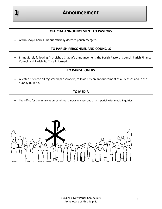# *Announcement*

## **OFFICIAL ANNOUNCEMENT TO PASTORS**

Archbishop Charles Chaput officially decrees parish mergers.

#### **TO PARISH PERSONNEL AND COUNCILS**

 Immediately following Archbishop Chaput's announcement, the Parish Pastoral Council, Parish Finance Council and Parish Staff are informed.

## **TO PARISHIONERS**

 A letter is sent to all registered parishioners, followed by an announcement at all Masses and in the Sunday Bulletin.

## **TO MEDIA**

The Office for Communication sends out a news release, and assists parish with media inquiries.

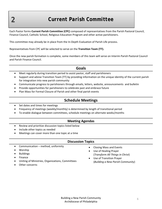*2*

# *Current Parish Committee*

Each Pastor forms **Current Parish Committee (CPC)** composed of representatives from the Parish Pastoral Council, Finance Council, Catholic School, Religious Education Program and other active parishioners.

This committee may already be in place from the In‐Depth Evaluation of Parish Life process.

Representatives from CPC will be selected to serve on the **Transition Team (TT).**

Once the new parish formation is complete, some members of this team will serve on Interim Parish Pastoral Council and Parish Finance Council.

## **Goals**

- Meet regularly during transition period to assist pastor, staff and parishioners
- Support and advise Transition Team (TT) by providing information on the unique identity of the current parish for integration into new parish community
- Communicate progress to parishioners through emails, letters, website, announcements and bulletin
- Provide opportunities for parishioners to celebrate past and embrace future
- Plan Mass for Formal Closure of Parish and other final parish events

## **Schedule Meetings**

- Set dates and times for meetings
- Frequency of meetings (weekly/monthly) is determined by length of transitional period
- To enable dialogue between committees, schedule meetings on alternate weeks/months

#### **Meeting Agendas**

- Review and prioritize discussion topics listed below
- Include other topics as needed
- Meetings can cover more than one topic at a time

#### **Discussion Topics**

- Communication method, uniformity
- Worship
- Buildings
- Finance
- Uniting of Ministries, Organizations, Committees
- Other concerns
- Closing Mass and Events
- Use of Healing Prayer (*Transform All Things in Christ*)
- Use of Transition Prayer (*Building a New Parish Community*)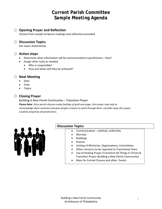# **Current Parish Committee**  *Sample Meeting Agenda*

## **Opening Prayer and Reflection**

Choose from sample Scripture readings and reflections provided

## **Discussion Topics**

See topics listed below

#### **Action steps**

- Determine what information will be communicated to parishioners. How?
- Assign other tasks as needed.
	- Who is responsible?
	- How and when will they be achieved?

#### **Next Meeting**

- Date
- Time
- Topics

## **Closing Prayer**

Building A New Parish Community – *Transition Prayer* 

**Please Note**: *Since parish closures evoke feelings of grief and anger, this prayer may help to acknowledge these emotions and give people a chance to work through them. Consider ways this prayer could be prayed by all parishioners.*



#### **Discussion Topics**

- Communication method, uniformity
- Worship
- Buildings
- finance
- Uniting of Ministries, Organizations, Committees
- Other concerns to be reported to Transitional Team
- Use of Healing Prayer (Transform All Things in Christ) & Transition Prayer (Building a New Parish Community)
- Mass for Formal Closure and other Events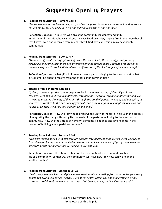# *Suggested Opening Prayers*

#### **1. Reading from Scripture: Romans 12:4‐5**

"For as in one body we have many parts, and all the parts do not have the same function, so we, *though many, are one body in Christ and individually parts of one another."*

**Reflection Question:** It is Christ who gives the community its identity and unity. In this time of transition, how can I keep my eyes fixed on Christ, staying firm in the hope that all that I have loved and received from my parish will find new expression in my new parish community?

#### **2. Reading from Scripture: 1 Cor 12:4‐7**

*"There are different kinds of spiritual gifts but the same Spirit; there are different forms of service but the same Lord; there are different workings but the same God who produces all of them in everyone. To each individual the manifestation of the Spirit is given for some benefit."*

**Reflection Question:** What gifts do I see my current parish bringing to the new parish? What gifts might I be open to receive from the other parish communities?

#### **3. Reading from Scripture: Eph 4:1‐6**

"I, then, a prisoner for the Lord, urge you to live in a manner worthy of the call you have *received, with all humility and gentleness, with patience, bearing with one another through love,* striving to preserve the unity of the spirit through the bond of peace: one body and one Spirit, as you were also called to the one hope of your call; one Lord, one faith, one baptism, one God and *Father of all, who is over all and through all and in all."*

**Reflection Question:** How will "striving to preserve the unity of the spirit" help us in the process of integrating the many different gifts that each of the parishes will bring to the new parish community? How will the virtues of humility, gentleness, patience and love help me in the process of building a new parish community?

#### **4. Reading from Scripture: Romans 6:3‐11**

*"We were indeed buried with him through baptism into death, so that, just as Christ was raised* from the dead by the glory of the Father, we too might live in newness of life. If, then, we have *died with Christ, we believe that we shall also live with him."*

**Reflection Question:** The Church is built on the Paschal Mystery. To what do we have to die as a community, so that we, the community, will have new life? How can we help one another do this?

#### **5. Reading from Scripture: Ezekiel 36:24‐28**

"I will give you a new heart and place a new spirit within you, taking from your bodies your stony hearts and giving you natural hearts. I will put my spirit within you and make you live by my *statutes, careful to observe my decrees. You shall be my people, and I will be your God."*

**\_\_\_\_\_\_\_\_\_\_\_\_\_\_\_\_\_\_\_\_\_\_\_\_\_\_\_\_\_\_\_\_\_\_\_\_\_\_\_\_\_\_\_\_\_\_\_\_\_\_\_\_\_\_\_\_\_\_\_\_\_\_\_\_\_\_\_\_\_\_\_\_\_\_\_\_\_\_**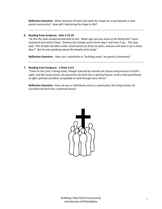**Reflection Question:** What newness of heart and spirit do I hope for as we become a new parish community? How will I help bring this hope to life?

#### **6. Reading from Scripture: John 2:13‐25**

"At this the Jews answered and said to him, 'What sign can you show us for doing this?' Jesus answered and said to them, 'Destroy this temple and in three days I will raise it up.' The Jews said, 'This temple has been under construction for forty-six years, and you will raise it up in three *days?' But he was speaking about the temple of his body."*

**Reflection Question:** How can I contribute to "building anew" my parish community?

#### **7. Reading from Scripture: 1 Peter 2:4‐5**

*"Come to the Lord, a living stone, though rejected by mortals yet chosen and precious in God's* sight, and like living stones, let yourselves be built into a spiritual house, to be a holy priesthood, *to offer spiritual sacrifices acceptable to God through Jesus Christ."*

**Reflection Question:** How can we as individuals and as a community, like living stones, let ourselves be built into a spiritual house?

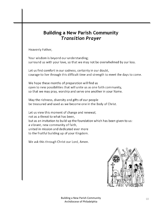# **Building a New Parish Community**  *Transition Prayer*

Heavenly Father,

Your wisdom is beyond our understanding; surround us with your love, so that we may not be overwhelmed by our loss.

Let us find comfort in our sadness, certainty in our doubt, courage to live through this difficult time and strength to meet the days to come.

We hope these months of preparation will find us open to new possibilities that will unite us as one faith community, so that we may pray, worship and serve one another in your Name.

May the richness, diversity and gifts of our people be treasured and used as we become one in the Body of Christ.

Let us view this moment of change and renewal, not as a threat to what has been, but as an invitation to build up the foundation which has been given to us: a vibrant, new community of faith, united in mission and dedicated ever more to the fruitful building up of your Kingdom.

We ask this through Christ our Lord, Amen.

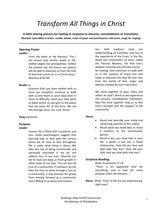# *Transform All Things in Christ*

**A faith‐sharing process for healing in response to closures, consolidations or transitions.** (Needed: open Bible in center, candle, basket, strips of paper and pencils/pens, soft music, songs for singing)

## **Opening Prayer**

#### **Leader:**

From the letter to the Romans: "For I am certain that neither death or life, neither angels nor principalities, neither the present nor the future nor powers will be able to separate us from the love of God that comes to us in Christ Jesus." (Romans 8:38‐39)

#### **Reader 1:**

Gracious God, you have walked with us since our inception, continue to walk with us and teach us your ways even in times of difficulty. Send your Holy Spirit to dwell within us and give us the peace that we yearn for at this time. We ask this through Jesus, our Lord. Amen

#### **Song** (optional)

#### **Purpose:**

#### **Leader:**

Human life is filled with transitions and loss. Some psychologists suggest that learning how to deal with the various losses we all have to face throughout life is really what living is about. We take the risk of being emotionally and spiritually wounded if we do not address loss in our lives. Wounds can fail to heal and keep us from growth in other areas of our lives. This can also be true of a community. If members do not take the time to work through a loss as a community, it may prevent the group from moving forward as a community and fulfilling its purpose and mission.

Our faith tradition roots our understanding of transition and loss in the experience of the Cross. In the life, death and resurrection of Jesus, called the Paschal Mystery, we find loss's deepest meaning and ultimate source for healing. God continues to walk with us in the mystery of every loss and helps us welcome the new life that rises from the tombs of fear, anger and sadness created by such transitions.

We come together to pray, share and reflect on God's Word as we experience this (closure, consolidation, transition). May this time together help us to feel God's strength and the support of the community.

#### **Share:**

- Recall and describe your initial and continuing reaction to this reality.
- Recall what you loved best or share a memory of the (community, parish).
- Recall a loss you have had in your life: a death, a lost job, a failed relationship. How did you face and deal with that loss? How did your faith help you deal with that loss?

#### **Scripture Reading:**

#### Read: Ecclesiastes 3:1‐8 *"There is an appointed time for everything, and a time for every purpose under the heavens…"*

**Share:** What "time" in life are you experiencing right now?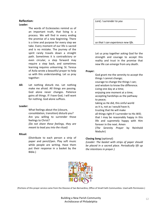#### **Reflection:**

#### **Leader:**

The words of Ecclesiastes remind us of an important truth, that living is a process. We will find in every ending the promise of a new beginning. There is a time and purpose for every step we take. Every moment of our life is sacred and is no mistake. The journey of the spirit rarely travels down a straight path. Sometimes it is contradictory or even circular, a step forward may require a step back, and sometimes learning requires unlearning. St. Teresa of Avila wrote a beautiful prayer to help us with this understanding. Let us pray together:

**All:** Let nothing disturb me. Let nothing make me afraid. All things are passing. God alone never changes. Patience gains all things. If I have God, I will want for nothing. God alone suffices.

#### **Leader:**

What feelings about the (closure, consolidation, transition) disturb you? Are you willing to surrender those feelings to Christ? *(Do not share these feelings, they are meant to lead you into the ritual)*

#### **Ritual:**

(Distribute to each person a strip of paper and pencil/pen. Play soft music while people are writing. Have them put their response in a basket by the Bible.)

*Lord, I surrender to you*

*so that I can experience new life.*

*\_\_\_\_\_\_\_\_\_\_\_\_\_\_\_\_\_\_\_\_\_\_\_\_\_\_\_\_\_*

*\_\_\_\_\_\_\_\_\_\_\_\_\_\_\_\_\_\_\_\_\_\_\_\_\_\_\_\_*

Let us pray together asking God for the strength and courage to accept this reality and trust in the promise that new life can emerge from any death.

#### **Prayer:**

God grant me the serenity to accept the things I cannot change; courage to change the things I can; and wisdom to know the difference. Living one day at a time; enjoying one moment at a time; accepting hardships as the pathway to peace; taking as He did, this sinful world as it is, not as I would have it; trusting that He will make all things right if I surrender to His Will; that I may be reasonably happy in this life and supremely happy with Him forever in the next. Amen (*The Serenity Prayer* by Reinhold Niebuhr)

#### **Closing Song** (optional)

*(Leader: The basket with strips of paper should be placed in a sacred place. Periodically lift up the intentions in prayer.)*



(Portions of this prayer service came from the Diocese of San Bernardino, Office of Small Faith Communities. Used with Permission.)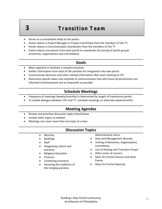# **3** *Transition Team*

- Serves as a consultative body to the pastor.
- Pastor selects a Project Manager or Project Committee from the members of the TT.
- Pastor selects a Communication Coordinator from the members of the TT.
- Pastor selects one person from each parish to coordinate the joining of parish groups (ministries, organizations and committees).

## **Goals**

- Meet regularly to facilitate a smooth transition
- Gather information from each of the parishes for integration into new parish
- Communicate decisions and other related information after each meeting to CPC
- Determine specific dates and methods of communication that will insure all parishioners are informed simultaneously and as frequently as possible

## **Schedule Meetings**

- Frequency of meetings (weekly/monthly) is determined by length of transitional period
- To enable dialogue between CPC and TT, schedule meetings on alternate weeks/months

## **Meeting Agendas**

- Review and prioritize discussion topics listed below
- Include other topics as needed
- Meetings can cover more than one topic at a time

## **Discussion Topics**

- Worship
- Buildings
- Staff
- Integrating culture and practices
- Religious Education
- Finances
- Combining Inventory
- Honoring the traditions of the merging parishes

Administrative Items:

- Data and Management Records
- Uniting of Ministries, Organizations, Committees
- Use of Healing and Transition Prayer
- Other areas of concern
- Mass for Formal Closure and other Events
- Mass for Formal Opening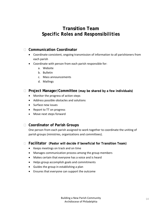# **Transition Team**  *Specific Roles and Responsibilities*

## **Communication Coordinator**

- Coordinate consistent, ongoing transmission of information to all parishioners from each parish
- Coordinate with person from each parish responsible for:
	- a. Website
	- b. Bulletin
	- c. Mass announcements
	- d. Mailings

## **Project Manager/Committee (may be shared by a few individuals)**

- Monitor the progress of action steps
- Address possible obstacles and solutions
- Surface new issues
- Report to TT on progress
- Move next steps forward

## **Coordinator of Parish Groups**

One person from each parish assigned to work together to coordinate the uniting of parish groups (ministries, organizations and committees).

## **Facilitator (Pastor will decide if beneficial for Transition Team)**

- Keeps meetings on track and on time
- Manages communication process among the group members
- Makes certain that everyone has a voice and is heard
- Helps group accomplish goals and commitments
- Guides the group in establishing a plan
- Ensures that everyone can support the outcome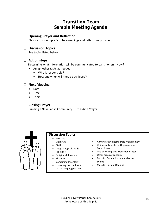# **Transition Team**  *Sample Meeting Agenda*

## **Opening Prayer and Reflection**

Choose from sample Scripture readings and reflections provided

## **Discussion Topics**

See topics listed below

## **Action steps**

Determine what information will be communicated to parishioners. How?

- Assign other tasks as needed.
	- Who is responsible?
	- How and when will they be achieved?

## **Next Meeting**

- Date
- Time
- Topic

## **Closing Prayer**

Building a New Parish Community – *Transition Prayer*



## **Discussion Topics**

- Worship
- Buildings
- Staff
- Integrating Culture & Practices
- Religious Education
- Finances
- Combining Inventory
- Honoring the traditions of the merging parishes
- Administrative Items-Data Management
- Uniting of Ministries, Organizations, Committees
- Use of Healing and Transition Prayer
- Other areas of concern
- Mass for Formal Closure and other Events
- Mass for Formal Opening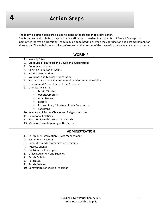# *4 Action Steps*

The following action steps are a guide to assist in the transition to a new parish.

The tasks can be distributed to appropriate staff or parish leaders to accomplish. A Project Manager or Committee (serves on Transition Team) may be appointed to oversee the coordination and accomplishment of these tasks. The archdiocesan offices referenced at the bottom of the page will provide any needed assistance.

#### **WORSHIP**

- 1. Worship Sites
- 2. Schedules of Liturgical and Devotional Celebrations
- 3. Announced Masses
- 4. Christian Initiation of Adults
- 5. Baptism Preparation
- 6. Weddings and Marriage Preparation
- 7. Pastoral Care of the Sick and Homebound (Communion Calls)
- 8. Funerals and Pastoral Care of the Bereaved
- 9. Liturgical Ministries
	- **Music Ministry**
	- **Ushers/Greeters**
	- **Altar Servers**
	- **Lectors**
	- **Extraordinary Ministers of Holy Communion**
	- **Sacristans**
- 10. Inventory of Sacred Objects and Religious Articles
- 11. Devotional Practices
- 12. Mass for Formal Closure of the Parish
- 13. Mass for Formal Opening of the Parish

#### **ADMINISTRATION**

- 1. Parishioner Information Data Management
- 2. Sacramental Records
- 3. Computers and Communications Systems
- 4. Address Changes
- 5. Contribution Envelopes
- 6. Office Equipment and Supplies
- 7. Parish Bulletin
- 8. Parish Seal
- 9. Parish Archives
- 10. Communication During Transition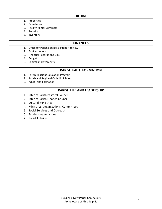#### **BUILDINGS**

- 1. Properties
- 2. Cemeteries
- 3. Facility Rental Contracts
- 4. Security
- 5. Inventory

#### **FINANCES**

- 1. Office for Parish Service & Support review
- 2. Bank Accounts
- 3. Financial Records and Bills
- 4. Budget
- 5. Capital Improvements

#### **PARISH FAITH FORMATION**

- 1. Parish Religious Education Program
- 2. Parish and Regional Catholic Schools
- 3. Adult Faith Formation

#### **PARISH LIFE AND LEADERSHIP**

- 1. Interim Parish Pastoral Council
- 2. Interim Parish Finance Council
- 3. Cultural Ministries
- 4. Ministries, Organizations, Committees
- 5. Social Services and Outreach
- 6. Fundraising Activities
- 7. Social Activities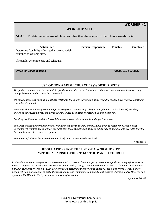*WORSHIP - 1*

## **WORSHIP SITES**

*GOAL:*To determine the use of churches other than the one parish church as a worship site.

| <b>Action Step</b>                                                              | <b>Person Responsible</b> | <b>Timeline</b> | <b>Completed</b> |
|---------------------------------------------------------------------------------|---------------------------|-----------------|------------------|
| Determine feasibility of using the current parish<br>churches as worship sites. |                           |                 |                  |
| If feasible, determine use and schedule.                                        |                           |                 |                  |
| <b>Office for Divine Worship</b><br>Phone: 215-587-3537                         |                           |                 |                  |

## **USE OF NON-PARISH CHURCHES (WORSHIP SITES)**

The parish church is to be the normal site for the celebration of the Sacraments. Funerals and devotions, however, may *always be celebrated in a worship site church.*

On special occasions, such as a feast day related to the church patron, the pastor is authorized to have Mass celebrated in *a worship site church.*

Weddings that are already scheduled for worship site churches may take place as planned. Going forward, weddings *should be scheduled only for the parish church, unless permission is obtained from the chancery.* 

*Baptism, Confirmation and the Easter Triduum are to be celebrated only in the parish church.*

The Most Blessed Sacrament must be reserved in the parish church. Permission is given to reserve the Most Blessed Sacrament in worship site churches, provided that there is a genuine pastoral advantage in doing so and provided that the *Blessed Sacrament is renewed regularly.*

*The names of all churches are to be maintained, unless otherwise determined.* 

*Appendix B*

#### **REGULATIONS FOR THE USE OF A WORSHIP SITE WITHIN A PARISH OTHER THAN THE PARISH CHURCH**

 *offered in the Worship Site(s) during the one year of transition.* In situations where worship sites have been created as a result of the merger of two or more parishes, every effort must be made to prepare the parishioners to celebrate every Sunday Liturgy together in the Parish Church. If the Pastor of the new parish in consultation with his Parish Councils would determine that providing Sunday Mass in a Worship Site for a short period will help parishioners to make the transition to one worshiping community in the parish Church, Sunday Mass may be

*Appendix B‐1, #8*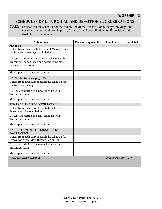*WORSHIP - 2*

## **SCHEDULES OF LITURGICAL AND DEVOTIONAL CELEBRATIONS**

**GOAL:** To establish the schedule for the celebration of the Eucharist on Sundays, holydays and weekdays, the schedule for Baptism, Penance and Reconciliation and Exposition of the Most Blessed Sacrament.

| <b>Action Step</b>                                                                                                     | <b>Person Responsible</b> | <b>Timeline</b>     | <b>Completed</b> |
|------------------------------------------------------------------------------------------------------------------------|---------------------------|---------------------|------------------|
| <b>MASSES</b>                                                                                                          |                           |                     |                  |
| Obtain from each parish the current Mass schedule<br>for Sundays, weekdays and holydays.                               |                           |                     |                  |
| Discuss and decide on new Mass schedule with<br>Transition Team. Obtain and consider the most<br>recent October Count. |                           |                     |                  |
| Make appropriate announcements.                                                                                        |                           |                     |                  |
| <b>BAPTISM</b> (also see page 22)                                                                                      |                           |                     |                  |
| Obtain from each current parish the schedule for<br>Baptisms on Sundays.                                               |                           |                     |                  |
| Discuss and decide on a new schedule with<br><b>Transition Team.</b>                                                   |                           |                     |                  |
| Make appropriate announcements.                                                                                        |                           |                     |                  |
| PENANCE AND RECONCILIATION                                                                                             |                           |                     |                  |
| Obtain from each current parish the schedule for<br>Penance and Reconciliation.                                        |                           |                     |                  |
| Discuss and decide on a new schedule with<br><b>Transition Team.</b>                                                   |                           |                     |                  |
| Make appropriate announcements.                                                                                        |                           |                     |                  |
| <b>EXPOSITION OF THE MOST BLESSED</b><br><b>SACRAMENT</b>                                                              |                           |                     |                  |
| Obtain from each current parish the schedule for<br>Exposition of the Most Blessed Sacrament.                          |                           |                     |                  |
| Discuss and decide on a new schedule with<br><b>Transition Team.</b>                                                   |                           |                     |                  |
| Make appropriate announcements.                                                                                        |                           |                     |                  |
| <b>Office for Divine Worship</b>                                                                                       |                           | Phone: 215-587-3537 |                  |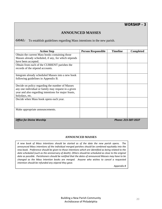## **ANNOUNCED MASSES**

*GOAL:*To establish guidelines regarding Mass intentions in the new parish.

| <b>Action Step</b>                                      | <b>Person Responsible</b> | <b>Timeline</b> | <b>Completed</b> |
|---------------------------------------------------------|---------------------------|-----------------|------------------|
| Obtain the current Mass books containing those          |                           |                 |                  |
| Masses already scheduled, if any, for which stipends    |                           |                 |                  |
| have been accepted.                                     |                           |                 |                  |
| Obtain from each of the CURRENT parishes the            |                           |                 |                  |
| records of the stipend accounts.                        |                           |                 |                  |
|                                                         |                           |                 |                  |
| Integrate already scheduled Masses into a new book      |                           |                 |                  |
| following guidelines in Appendix B.                     |                           |                 |                  |
|                                                         |                           |                 |                  |
| Decide on policy regarding the number of Masses         |                           |                 |                  |
| any one individual or family may request in a given     |                           |                 |                  |
| year and also regarding intentions for major feasts,    |                           |                 |                  |
| holydays, etc.                                          |                           |                 |                  |
| Decide when Mass book opens each year.                  |                           |                 |                  |
|                                                         |                           |                 |                  |
|                                                         |                           |                 |                  |
| Make appropriate announcements.                         |                           |                 |                  |
|                                                         |                           |                 |                  |
|                                                         |                           |                 |                  |
| <b>Office for Divine Worship</b><br>Phone: 215-587-3537 |                           |                 |                  |
|                                                         |                           |                 |                  |

#### **ANNOUNCED MASSES**

*A new book of Mass intentions should be started as of the date the new parish opens. The announced Mass intentions of the individual merged parishes should be combined equitably into the* new book. Preference should be given to those intentions which are identified as being related to the *date scheduled (such as the anniversary of death). Others should be scheduled as close to the original* date as possible. Parishioners should be notified that the dates of announced Masses may have to be *changed as the Mass Intention books are merged. Anyone who wishes to cancel a requested intention should be refunded any stipend they gave.* 

*Appendix B*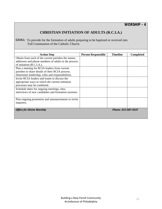## **CHRISTIAN INITIATION OF ADULTS (R.C.I.A.)**

**GOAL:** To provide for the formation of adults preparing to be baptized or received into Full Communion of the Catholic Church.

| <b>Action Step</b>                                   | <b>Person Responsible</b> | <b>Timeline</b> | <b>Completed</b> |
|------------------------------------------------------|---------------------------|-----------------|------------------|
| Obtain from each of the current parishes the names,  |                           |                 |                  |
| addresses and phone numbers of adults in the process |                           |                 |                  |
| of initiation (R.C.I.A.).                            |                           |                 |                  |
| Plan a meeting for RCIA leaders from current         |                           |                 |                  |
| parishes to share details of their RCIA process.     |                           |                 |                  |
| Determine leadership, roles and responsibilities.    |                           |                 |                  |
| Invite RCIA leaders and teams to discuss the         |                           |                 |                  |
| appropriate ways in which the current initiation     |                           |                 |                  |
| processes may be combined.                           |                           |                 |                  |
| Schedule dates for ongoing meetings, rites,          |                           |                 |                  |
| interviews of new candidates and formation sessions. |                           |                 |                  |
|                                                      |                           |                 |                  |
| Plan ongoing promotion and announcements to invite   |                           |                 |                  |
| inquirers.                                           |                           |                 |                  |
|                                                      |                           |                 |                  |
| <b>Office for Divine Worship</b>                     |                           |                 |                  |
|                                                      |                           |                 |                  |
| Phone: 215-587-3537                                  |                           |                 |                  |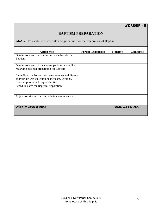## **BAPTISM PREPARATION**

**GOAL:** To establish a schedule and guidelines for the celebration of Baptism.

| <b>Action Step</b>                                   | <b>Person Responsible</b> | <b>Timeline</b>     | <b>Completed</b> |
|------------------------------------------------------|---------------------------|---------------------|------------------|
| Obtain from each parish the current schedule for     |                           |                     |                  |
| Baptism.                                             |                           |                     |                  |
|                                                      |                           |                     |                  |
| Obtain from each of the current parishes any policy  |                           |                     |                  |
| regarding parental preparation for Baptism.          |                           |                     |                  |
|                                                      |                           |                     |                  |
| Invite Baptism Preparation teams to meet and discuss |                           |                     |                  |
| appropriate ways to combine the team, sessions,      |                           |                     |                  |
| leadership roles and responsibilities.               |                           |                     |                  |
| Schedule dates for Baptism Preparation.              |                           |                     |                  |
|                                                      |                           |                     |                  |
|                                                      |                           |                     |                  |
| Adjust website and parish bulletin announcement.     |                           |                     |                  |
|                                                      |                           |                     |                  |
|                                                      |                           |                     |                  |
| <b>Office for Divine Worship</b>                     |                           | Phone: 215-587-3537 |                  |
|                                                      |                           |                     |                  |
|                                                      |                           |                     |                  |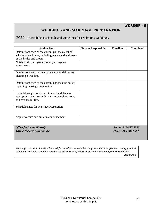*WORSHIP - 6*

## **WEDDINGS AND MARRIAGE PREPARATION**

*GOAL:* To establish a schedule and guidelines for celebrating weddings.

| <b>Action Step</b>                                      | <b>Person Responsible</b> | <b>Timeline</b>     | <b>Completed</b> |
|---------------------------------------------------------|---------------------------|---------------------|------------------|
| Obtain from each of the current parishes a list of      |                           |                     |                  |
| scheduled weddings, including names and addresses       |                           |                     |                  |
| of the brides and grooms.                               |                           |                     |                  |
| Notify brides and grooms of any changes or              |                           |                     |                  |
| adjustments.                                            |                           |                     |                  |
| Obtain from each current parish any guidelines for      |                           |                     |                  |
| planning a wedding.                                     |                           |                     |                  |
|                                                         |                           |                     |                  |
| Obtain from each of the current parishes the policy     |                           |                     |                  |
| regarding marriage preparation.                         |                           |                     |                  |
|                                                         |                           |                     |                  |
| Invite Marriage Prep teams to meet and discuss          |                           |                     |                  |
| appropriate ways to combine teams, sessions, roles      |                           |                     |                  |
| and responsibilities.                                   |                           |                     |                  |
| Schedule dates for Marriage Preparation.                |                           |                     |                  |
|                                                         |                           |                     |                  |
|                                                         |                           |                     |                  |
| Adjust website and bulletin announcement.               |                           |                     |                  |
|                                                         |                           |                     |                  |
|                                                         |                           |                     |                  |
| <b>Office for Divine Worship</b><br>Phone: 215-587-3537 |                           |                     |                  |
| <b>Office for Life and Family</b>                       |                           | Phone: 215-587-5661 |                  |
|                                                         |                           |                     |                  |

*Weddings that are already scheduled for worship site churches may take place as planned. Going forward,* weddings should be scheduled only for the parish church, unless permission is obtained from the chancery. *Appendix B*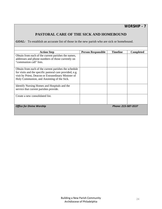*WORSHIP - 7*

## **PASTORAL CARE OF THE SICK AND HOMEBOUND**

*GOAL:* To establish an accurate list of those in the new parish who are sick or homebound.

| <b>Action Step</b>                                       | <b>Person Responsible</b> | <b>Timeline</b>     | <b>Completed</b> |
|----------------------------------------------------------|---------------------------|---------------------|------------------|
| Obtain from each of the current parishes the names,      |                           |                     |                  |
| addresses and phone numbers of those currently on        |                           |                     |                  |
| "communion call" lists.                                  |                           |                     |                  |
|                                                          |                           |                     |                  |
| Obtain from each of the current parishes the schedule    |                           |                     |                  |
| for visits and the specific pastoral care provided, e.g. |                           |                     |                  |
| visit by Priest, Deacon or Extraordinary Minister of     |                           |                     |                  |
| Holy Communion, and Anointing of the Sick.               |                           |                     |                  |
|                                                          |                           |                     |                  |
| Identify Nursing Homes and Hospitals and the             |                           |                     |                  |
| service that current parishes provide.                   |                           |                     |                  |
|                                                          |                           |                     |                  |
| Create a new consolidated list.                          |                           |                     |                  |
|                                                          |                           |                     |                  |
|                                                          |                           |                     |                  |
| <b>Office for Divine Worship</b>                         |                           | Phone: 215-587-3537 |                  |
|                                                          |                           |                     |                  |
|                                                          |                           |                     |                  |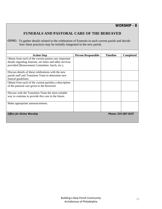## **FUNERALS AND PASTORAL CARE OF THE BEREAVED**

GOAL: To gather details related to the celebration of Funerals in each current parish and decide how these practices may be initially integrated in the new parish.

| <b>Action Step</b>                                       | <b>Person Responsible</b> | <b>Timeline</b> | Completed           |
|----------------------------------------------------------|---------------------------|-----------------|---------------------|
| Obtain from each of the current pastors any important    |                           |                 |                     |
| details regarding funerals, set times and other services |                           |                 |                     |
| provided (Bereavement Committee, lunch, etc.).           |                           |                 |                     |
|                                                          |                           |                 |                     |
| Discuss details of these celebrations with the new       |                           |                 |                     |
| parish staff and Transition Team to determine new        |                           |                 |                     |
| funeral guidelines.                                      |                           |                 |                     |
| Obtain from each of the current parishes a description   |                           |                 |                     |
| of the pastoral care given to the bereaved.              |                           |                 |                     |
|                                                          |                           |                 |                     |
| Discuss with the Transition Team the most suitable       |                           |                 |                     |
| way to continue to provide this care in the future.      |                           |                 |                     |
|                                                          |                           |                 |                     |
| Make appropriate announcements.                          |                           |                 |                     |
|                                                          |                           |                 |                     |
|                                                          |                           |                 |                     |
| <b>Office for Divine Worship</b>                         |                           |                 | Phone: 215-587-3537 |
|                                                          |                           |                 |                     |
|                                                          |                           |                 |                     |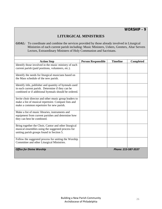*WORSHIP - 9*

## **LITURGICAL MINISTRIES**

*GOAL:* To coordinate and combine the services provided by those already involved in Liturgical Ministries of each current parish including: Music Ministers, Ushers, Greeters, Altar Servers Lectors, Extraordinary Ministers of Holy Communion and Sacristans.

| <b>Action Step</b>                                     | <b>Person Responsible</b> | <b>Timeline</b>     | <b>Completed</b> |
|--------------------------------------------------------|---------------------------|---------------------|------------------|
| Identify those involved in the music ministry of each  |                           |                     |                  |
| current parish (paid positions, volunteers, etc.).     |                           |                     |                  |
|                                                        |                           |                     |                  |
| Identify the needs for liturgical musicians based on   |                           |                     |                  |
| the Mass schedule of the new parish.                   |                           |                     |                  |
|                                                        |                           |                     |                  |
| Identify title, publisher and quantity of hymnals used |                           |                     |                  |
| in each current parish. Determine if they can be       |                           |                     |                  |
| combined or if additional hymnals should be ordered.   |                           |                     |                  |
|                                                        |                           |                     |                  |
| Invite choir director and other music group leaders to |                           |                     |                  |
| make a list of musical repertoire. Compare lists and   |                           |                     |                  |
| make a common repertoire for new parish.               |                           |                     |                  |
|                                                        |                           |                     |                  |
| Make a list of music libraries, instruments and        |                           |                     |                  |
| equipment from current parishes and determine how      |                           |                     |                  |
| they can best be combined.                             |                           |                     |                  |
|                                                        |                           |                     |                  |
| Bring together the Choir, Cantor and other liturgical  |                           |                     |                  |
| musical ensembles using the suggested process for      |                           |                     |                  |
| uniting parish groups found in Section 5.              |                           |                     |                  |
|                                                        |                           |                     |                  |
| Follow the suggested process for uniting the Worship   |                           |                     |                  |
| Committee and other Liturgical Ministries.             |                           |                     |                  |
|                                                        |                           |                     |                  |
| <b>Office for Divine Worship</b>                       |                           | Phone: 215-587-3537 |                  |
|                                                        |                           |                     |                  |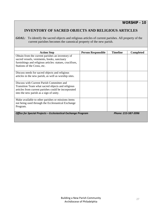## **INVENTORY OF SACRED OBJECTS AND RELIGIOUS ARTICLES**

**GOAL:** To identify the sacred objects and religious articles of current parishes. All property of the current parishes becomes the canonical property of the new parish.

| <b>Action Step</b>                                            | <b>Person Responsible</b> | <b>Timeline</b>     | <b>Completed</b> |
|---------------------------------------------------------------|---------------------------|---------------------|------------------|
| Obtain from the current parishes an inventory of              |                           |                     |                  |
| sacred vessels, vestments, books, sanctuary                   |                           |                     |                  |
| furnishings and religious articles: statues, crucifixes,      |                           |                     |                  |
| Stations of the Cross, etc.                                   |                           |                     |                  |
|                                                               |                           |                     |                  |
| Discuss needs for sacred objects and religious                |                           |                     |                  |
| articles in the new parish, as well as worship sites.         |                           |                     |                  |
|                                                               |                           |                     |                  |
| Discuss with Current Parish Committee and                     |                           |                     |                  |
| Transition Team what sacred objects and religious             |                           |                     |                  |
| articles from current parishes could be incorporated          |                           |                     |                  |
| into the new parish as a sign of unity.                       |                           |                     |                  |
|                                                               |                           |                     |                  |
| Make available to other parishes or missions items            |                           |                     |                  |
| not being used through the Ecclesiastical Exchange            |                           |                     |                  |
| Program.                                                      |                           |                     |                  |
|                                                               |                           |                     |                  |
| Office for Special Projects - Ecclesiastical Exchange Program |                           | Phone: 215-587-3996 |                  |
|                                                               |                           |                     |                  |
|                                                               |                           |                     |                  |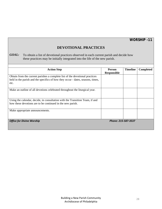*WORSHIP -11*

## **DEVOTIONAL PRACTICES**

*GOAL:* To obtain a list of devotional practices observed in each current parish and decide how these practices may be initially integrated into the life of the new parish.

|                                                                                                                                                                         | <b>Person</b>      | <b>Timeline</b>     |                  |
|-------------------------------------------------------------------------------------------------------------------------------------------------------------------------|--------------------|---------------------|------------------|
| <b>Action Step</b>                                                                                                                                                      | <b>Responsible</b> |                     | <b>Completed</b> |
| Obtain from the current parishes a complete list of the devotional practices<br>held in the parish and the specifics of how they occur - dates, seasons, times,<br>etc. |                    |                     |                  |
| Make an outline of all devotions celebrated throughout the liturgical year.                                                                                             |                    |                     |                  |
| Using the calendar, decide, in consultation with the Transition Team, if and<br>how these devotions are to be continued in the new parish.                              |                    |                     |                  |
| Make appropriate announcements.                                                                                                                                         |                    |                     |                  |
| <b>Office for Divine Worship</b>                                                                                                                                        |                    | Phone: 215-587-3537 |                  |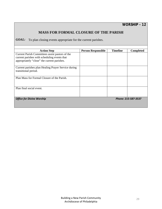## **MASS FOR FORMAL CLOSURE OF THE PARISH**

**GOAL:** To plan closing events appropriate for the current parishes.

| <b>Action Step</b>                                  | <b>Person Responsible</b> | <b>Timeline</b> | <b>Completed</b>    |
|-----------------------------------------------------|---------------------------|-----------------|---------------------|
| Current Parish Committees assist pastors of the     |                           |                 |                     |
| current parishes with scheduling events that        |                           |                 |                     |
| appropriately "close" the current parishes.         |                           |                 |                     |
|                                                     |                           |                 |                     |
| Current parishes plan Healing Prayer Service during |                           |                 |                     |
| transitional period.                                |                           |                 |                     |
|                                                     |                           |                 |                     |
| Plan Mass for Formal Closure of the Parish.         |                           |                 |                     |
|                                                     |                           |                 |                     |
|                                                     |                           |                 |                     |
| Plan final social event.                            |                           |                 |                     |
|                                                     |                           |                 |                     |
|                                                     |                           |                 |                     |
| <b>Office for Divine Worship</b>                    |                           |                 | Phone: 215-587-3537 |
|                                                     |                           |                 |                     |
|                                                     |                           |                 |                     |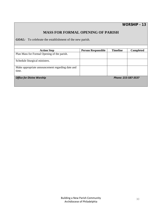## **MASS FOR FORMAL OPENING OF PARISH**

**GOAL:** To celebrate the establishment of the new parish.

г

| <b>Action Step</b>                                        | <b>Person Responsible</b> | <b>Timeline</b>     | <b>Completed</b> |
|-----------------------------------------------------------|---------------------------|---------------------|------------------|
| Plan Mass for Formal Opening of the parish.               |                           |                     |                  |
| Schedule liturgical ministers.                            |                           |                     |                  |
| Make appropriate announcement regarding date and<br>time. |                           |                     |                  |
| <b>Office for Divine Worship</b>                          |                           | Phone: 215-587-3537 |                  |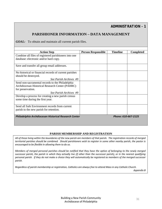*ADMINISTRATION - 1*

## **PARISHIONER INFORMATION – DATA MANAGEMENT**

*GOAL:* To obtain and maintain all current parish files.

<u> Termin de la propincia de la propincia de la propincia de la propincia de la propincia de la propincia de la p</u>

| <b>Action Step</b>                                     | <b>Person Responsible</b> | <b>Timeline</b>     | <b>Completed</b> |
|--------------------------------------------------------|---------------------------|---------------------|------------------|
| Combine all files of registered parishioners into one  |                           |                     |                  |
| database: electronic and/or hard copy.                 |                           |                     |                  |
|                                                        |                           |                     |                  |
| Save and transfer all group email addresses.           |                           |                     |                  |
|                                                        |                           |                     |                  |
| No historical or financial records of current parishes |                           |                     |                  |
| should be destroyed.                                   |                           |                     |                  |
| See Parish Archives #9                                 |                           |                     |                  |
| Send non-sacramental records to the Philadelphia       |                           |                     |                  |
| Archdiocesan Historical Research Center (PAHRC)        |                           |                     |                  |
| for preservation.                                      |                           |                     |                  |
| See Parish Archives #9                                 |                           |                     |                  |
| Develop a process for creating a new parish census     |                           |                     |                  |
| some time during the first year.                       |                           |                     |                  |
|                                                        |                           |                     |                  |
| Send all Safe Environment records from current         |                           |                     |                  |
| parish to the new parish for retention.                |                           |                     |                  |
|                                                        |                           |                     |                  |
| Philadelphia Archdiocesan Historical Research Center   |                           | Phone: 610-667-2125 |                  |
|                                                        |                           |                     |                  |

#### **PARISH MEMBERSHIP AND REGISTRATION**

All of those living within the boundaries of the new parish are members of that parish. The registration records of merged territorial parishes should be combined. Should parishioners wish to register in some other nearby parish, the pastor is *encouraged to be flexible in allowing them to do so.* 

Members of merged personal parishes should be notified that they have the option of belonging to the newly merged successor parish, the parish in which they actually live (if other than the successor parish), or in the nearest qualifying personal parish. If they do not make a choice they will automatically be registered as members of the merged successor *parish.*

Regardless of parish membership or registration, Catholics are always free to attend Mass in any Catholic Church.

*Appendix B*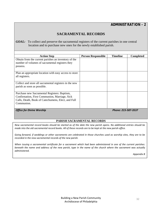## **SACRAMENTAL RECORDS**

*GOAL:* To collect and preserve the sacramental registers of the current parishes in one central location and to purchase new ones for the newly established parish.

| <b>Action Step</b>                                     | <b>Person Responsible</b> | <b>Timeline</b>     | <b>Completed</b> |
|--------------------------------------------------------|---------------------------|---------------------|------------------|
| Obtain from the current parishes an inventory of the   |                           |                     |                  |
| number of volumes of sacramental registers they        |                           |                     |                  |
| possess.                                               |                           |                     |                  |
|                                                        |                           |                     |                  |
| Plan an appropriate location with easy access to store |                           |                     |                  |
| all registers.                                         |                           |                     |                  |
|                                                        |                           |                     |                  |
| Collect and store all sacramental registers in the new |                           |                     |                  |
| parish as soon as possible.                            |                           |                     |                  |
|                                                        |                           |                     |                  |
| Purchase new Sacramental Registers: Baptism,           |                           |                     |                  |
| Confirmation, First Communion, Marriage, Sick          |                           |                     |                  |
| Calls, Death, Book of Catechumens, Elect, and Full     |                           |                     |                  |
| Communion.                                             |                           |                     |                  |
|                                                        |                           |                     |                  |
| <b>Office for Divine Worship</b>                       |                           | Phone: 215-587-3537 |                  |

#### **PARISH SACRAMENTAL RECORDS**

New sacramental record books should be started as of the date the new parish opens. No additional entries should be made into the old sacramental record books. All of these records are to be kept at the new parish office.

Going forward, if weddings or other sacraments are celebrated in those churches used as worship sites, they are to be *recorded in the new sacramental records of the new parish.*

When issuing a sacramental certificate for a sacrament which had been administered in one of the current parishes: beneath the name and address of the new parish, type in the name of the church where the sacrament was actually *administered.* 

*Appendix B*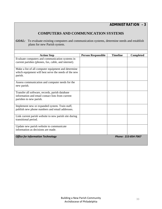## **COMPUTERS AND COMMUNICATION SYSTEMS**

**GOAL:** To evaluate existing computers and communication systems, determine needs and establish plans for new Parish system.

| <b>Action Step</b>                                                                                                             | <b>Person Responsible</b> | <b>Timeline</b> | <b>Completed</b>    |
|--------------------------------------------------------------------------------------------------------------------------------|---------------------------|-----------------|---------------------|
| Evaluate computers and communication systems in<br>current parishes (phones, fax, cable, and internet).                        |                           |                 |                     |
| Make a list of all computer equipment and determine<br>which equipment will best serve the needs of the new<br>parish.         |                           |                 |                     |
| Assess communication and computer needs for the<br>new parish.                                                                 |                           |                 |                     |
| Transfer all software, records, parish database<br>information and email contact lists from current<br>parishes to new parish. |                           |                 |                     |
| Implement new or expanded system. Train staff,<br>publish new phone numbers and email addresses.                               |                           |                 |                     |
| Link current parish website to new parish site during<br>transitional period.                                                  |                           |                 |                     |
| Update new parish website to communicate<br>information as decisions are made.                                                 |                           |                 |                     |
| <b>Office for Information Technology</b>                                                                                       |                           |                 | Phone: 215-854-7067 |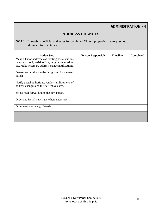*ADMINISTRATION - 4*

## **ADDRESS CHANGES**

*GOAL:* To establish official addresses for combined Church properties: rectory, school, administrative centers, etc.

| <b>Timeline</b>           | <b>Completed</b> |
|---------------------------|------------------|
|                           |                  |
|                           |                  |
|                           |                  |
|                           |                  |
|                           |                  |
|                           |                  |
|                           |                  |
|                           |                  |
|                           |                  |
|                           |                  |
| <b>Person Responsible</b> |                  |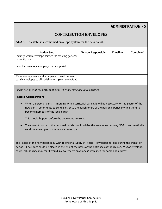*ADMINISTRATION - 5*

## **CONTRIBUTION ENVELOPES**

*GOAL:* To establish a combined envelope system for the new parish.

| <b>Action Step</b>                                                                                       | <b>Person Responsible</b> | <b>Timeline</b> | <b>Completed</b> |
|----------------------------------------------------------------------------------------------------------|---------------------------|-----------------|------------------|
| Identify which envelope service the existing parishes<br>currently use.                                  |                           |                 |                  |
| Select an envelope company for new parish.                                                               |                           |                 |                  |
| Make arrangements with company to send out new<br>parish envelopes to all parishioners. (see note below) |                           |                 |                  |

*Please see note at the bottom of page 31 concerning personal parishes.*

#### **Pastoral Consideration:**

 When a personal parish is merging with a territorial parish, it will be necessary for the pastor of the new parish community to send a letter to the parishioners of the personal parish inviting them to become members of the local parish.

This should happen before the envelopes are sent.

 The current pastor of the personal parish should advise the envelope company NOT to automatically send the envelopes of the newly created parish.

The Pastor of the new parish may wish to order a supply of "visitor" envelopes for use during the transition period. Envelopes could be placed in the end of the pews or the entrances of the church. Visitor envelopes could include checkbox for "I would like to receive envelopes" with lines for name and address.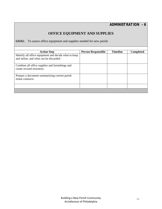## **OFFICE EQUIPMENT AND SUPPLIES**

*GOAL:* To assess office equipment and supplies needed for new parish.

| <b>Action Step</b>                                                                               | <b>Person Responsible</b> | <b>Timeline</b> | <b>Completed</b> |
|--------------------------------------------------------------------------------------------------|---------------------------|-----------------|------------------|
| Identify all office equipment and decide what to keep<br>and utilize, and what can be discarded. |                           |                 |                  |
|                                                                                                  |                           |                 |                  |
| Combine all office supplies and furnishings and<br>create revised inventory.                     |                           |                 |                  |
| Prepare a document summarizing current parish<br>rental contracts.                               |                           |                 |                  |
|                                                                                                  |                           |                 |                  |
|                                                                                                  |                           |                 |                  |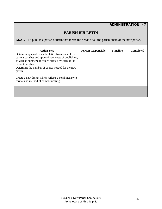*ADMINISTRATION - 7*

### **PARISH BULLETIN**

*GOAL:* To publish a parish bulletin that meets the needs of all the parishioners of the new parish.

| <b>Action Step</b>                                    | <b>Person Responsible</b> | <b>Timeline</b> | <b>Completed</b> |
|-------------------------------------------------------|---------------------------|-----------------|------------------|
| Obtain samples of recent bulletins from each of the   |                           |                 |                  |
| current parishes and approximate costs of publishing, |                           |                 |                  |
| as well as numbers of copies printed by each of the   |                           |                 |                  |
| current parishes.                                     |                           |                 |                  |
| Determine the number of copies needed for the new     |                           |                 |                  |
| parish.                                               |                           |                 |                  |
|                                                       |                           |                 |                  |
| Create a new design which reflects a combined style,  |                           |                 |                  |
| format and method of communicating.                   |                           |                 |                  |
|                                                       |                           |                 |                  |
|                                                       |                           |                 |                  |
|                                                       |                           |                 |                  |
|                                                       |                           |                 |                  |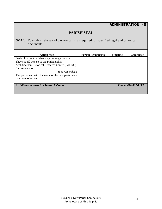*ADMINISTRATION - 8*

### **PARISH SEAL**

*GOAL:* To establish the seal of the new parish as required for specified legal and canonical documents.

| <b>Action Step</b>                                                    | <b>Person Responsible</b> | <b>Timeline</b> | <b>Completed</b> |
|-----------------------------------------------------------------------|---------------------------|-----------------|------------------|
| Seals of current parishes may no longer be used.                      |                           |                 |                  |
| They should be sent to the Philadelphia                               |                           |                 |                  |
| Archdiocesan Historical Research Center (PAHRC)                       |                           |                 |                  |
| for preservation.                                                     |                           |                 |                  |
| (See Appendix B)                                                      |                           |                 |                  |
| The parish seal with the name of the new parish may                   |                           |                 |                  |
| continue to be used.                                                  |                           |                 |                  |
|                                                                       |                           |                 |                  |
| <b>Archdiocesan Historical Research Center</b><br>Phone: 610-667-2125 |                           |                 |                  |
|                                                                       |                           |                 |                  |
|                                                                       |                           |                 |                  |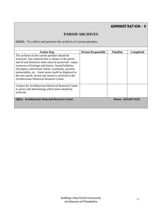*ADMINISTRATION - 9*

### **PARISH ARCHIVES**

*GOAL:* To collect and preserve the archives of current parishes.

| <b>Action Step</b>                                                            | <b>Person Responsible</b> | <b>Timeline</b> | <b>Completed</b> |
|-------------------------------------------------------------------------------|---------------------------|-----------------|------------------|
| The archives of the current parishes should be                                |                           |                 |                  |
| reviewed. Any material that is unique to the parish                           |                           |                 |                  |
| and of real historical value must be preserved - major                        |                           |                 |                  |
| resources of heritage and history: bound bulletins,                           |                           |                 |                  |
| old papers, anniversary books, yearbooks, pictures,                           |                           |                 |                  |
| memorabilia, etc. Some items could be displayed at                            |                           |                 |                  |
| the new parish, boxed and stored or archived at the                           |                           |                 |                  |
| Archdiocesan Historical Research Center.                                      |                           |                 |                  |
|                                                                               |                           |                 |                  |
| Contact the Archdiocesan Historical Research Center                           |                           |                 |                  |
| to assist with determining which items should be                              |                           |                 |                  |
| archived.                                                                     |                           |                 |                  |
|                                                                               |                           |                 |                  |
| Phone: 610-667-2125<br><b>Office: Archdiocesan Historical Research Center</b> |                           |                 |                  |
|                                                                               |                           |                 |                  |
|                                                                               |                           |                 |                  |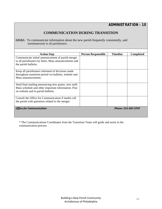### **COMMUNICATION DURING TRANSITION**

*GOAL:* To communicate information about the new parish frequently consistently, and simultaneously to all parishioners.

| <b>Action Step</b>                                     | <b>Person Responsible</b> | <b>Timeline</b> | <b>Completed</b> |
|--------------------------------------------------------|---------------------------|-----------------|------------------|
| Communicate initial announcement of parish merger      |                           |                 |                  |
| to all parishioners by letter, Mass announcements and  |                           |                 |                  |
| the parish bulletin.                                   |                           |                 |                  |
|                                                        |                           |                 |                  |
| Keep all parishioners informed of decisions made       |                           |                 |                  |
| throughout transition period via bulletin, website and |                           |                 |                  |
| Mass announcements.                                    |                           |                 |                  |
|                                                        |                           |                 |                  |
| Send final mailing announcing new pastor, new staff,   |                           |                 |                  |
| Mass schedule and other important information. Post    |                           |                 |                  |
| on website and in parish bulletin.                     |                           |                 |                  |
|                                                        |                           |                 |                  |
| Consult the Office for Communication if media call     |                           |                 |                  |
| the parish with questions related to the merger.       |                           |                 |                  |
|                                                        |                           |                 |                  |
| <b>Office for Communication</b>                        | Phone: 215-587-3747       |                 |                  |
|                                                        |                           |                 |                  |
|                                                        |                           |                 |                  |

\* The Communications Coordinator from the Transition Team will guide and assist in the communication process.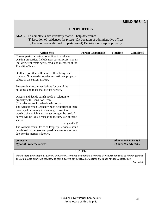*BUILDINGS - 1*

### **PROPERTIES**

*GOAL:* To complete a site inventory that will help determine:

- (1) Location of residences for priests (2) Location of administrative offices
- (3) Decisions on additional property use (4) Decisions on surplus property

| <b>Action Step</b>                                                                 | <b>Person Responsible</b> | <b>Timeline</b>     | <b>Completed</b> |
|------------------------------------------------------------------------------------|---------------------------|---------------------|------------------|
| Current pastors create a committee to evaluate                                     |                           |                     |                  |
| existing properties. Include new pastor, professionals                             |                           |                     |                  |
|                                                                                    |                           |                     |                  |
| (builders, real estate agent, etc.), and members of the<br><b>Transition Team.</b> |                           |                     |                  |
|                                                                                    |                           |                     |                  |
| Draft a report that will itemize all buildings and                                 |                           |                     |                  |
| contents. Note needed repairs and estimate property                                |                           |                     |                  |
| values in the current market.                                                      |                           |                     |                  |
|                                                                                    |                           |                     |                  |
| Prepare final recommendations for use of the                                       |                           |                     |                  |
| buildings and those that are not needed.                                           |                           |                     |                  |
|                                                                                    |                           |                     |                  |
| Discuss and decide parish needs in relation to                                     |                           |                     |                  |
| property with Transition Team.                                                     |                           |                     |                  |
| (Consider access for wheelchair users)                                             |                           |                     |                  |
| The Archdiocesan Chancery must be notified if there                                |                           |                     |                  |
| is a chapel or oratory in a rectory, convent, or                                   |                           |                     |                  |
| worship site which is no longer going to be used. A                                |                           |                     |                  |
| decree will be issued relegating the new use of these                              |                           |                     |                  |
| spaces.                                                                            |                           |                     |                  |
| (Appendix B)                                                                       |                           |                     |                  |
| The Archdiocesan Office of Property Services should                                |                           |                     |                  |
| be advised of mergers and possible sales as soon as a                              |                           |                     |                  |
| date for the merger is known.                                                      |                           |                     |                  |
|                                                                                    |                           |                     |                  |
| <b>Chancery</b>                                                                    |                           | Phone: 215-587-4538 |                  |
| <b>Office of Property Services</b>                                                 | Phone: 215-587-3560       |                     |                  |

**CHAPELS** 

Should there be a chapel or oratory in a rectory, convent, or a within a worship site church which is no longer going to be used, please notify the chancery so that a decree can be issued relegating the space for non-religious use.

*Appendix B*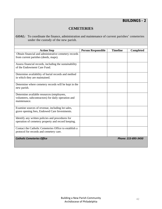# *BUILDINGS - 2*

### **CEMETERIES**

*GOAL:* To coordinate the finance, administration and maintenance of current parishes' cemeteries under the custody of the new parish.

| <b>Action Step</b>                                     | <b>Person Responsible</b> | <b>Timeline</b> | <b>Completed</b> |
|--------------------------------------------------------|---------------------------|-----------------|------------------|
| Obtain financial and administrative cemetery records   |                           |                 |                  |
| from current parishes (deeds, maps).                   |                           |                 |                  |
|                                                        |                           |                 |                  |
| Assess financial records, including the sustainability |                           |                 |                  |
| of the Endowment Care Fund.                            |                           |                 |                  |
|                                                        |                           |                 |                  |
| Determine availability of burial records and method    |                           |                 |                  |
| in which they are maintained.                          |                           |                 |                  |
|                                                        |                           |                 |                  |
| Determine where cemetery records will be kept in the   |                           |                 |                  |
| new parish.                                            |                           |                 |                  |
|                                                        |                           |                 |                  |
| Determine available resources (employees,              |                           |                 |                  |
| volunteers, subcontractors) for daily operation and    |                           |                 |                  |
| maintenance.                                           |                           |                 |                  |
| Examine sources of revenue, including lot sales,       |                           |                 |                  |
| grave opening fees, Endowed Care Investments.          |                           |                 |                  |
|                                                        |                           |                 |                  |
| Identify any written policies and procedures for       |                           |                 |                  |
| operation of cemetery property and record keeping.     |                           |                 |                  |
|                                                        |                           |                 |                  |
| Contact the Catholic Cemeteries Office to establish a  |                           |                 |                  |
| protocol for records and cemetery care.                |                           |                 |                  |
|                                                        |                           |                 |                  |
| <b>Catholic Cemeteries Office</b>                      | Phone: 215-895-3450       |                 |                  |
|                                                        |                           |                 |                  |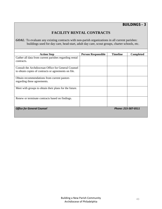### **FACILITY RENTAL CONTRACTS**

*GOAL*: To evaluate any existing contracts with non-parish organizations in all current parishes: buildings used for day care, head-start, adult day care, scout groups, charter schools, etc.

| <b>Action Step</b>                                     | <b>Person Responsible</b> | <b>Timeline</b> | <b>Completed</b> |
|--------------------------------------------------------|---------------------------|-----------------|------------------|
| Gather all data from current parishes regarding rental |                           |                 |                  |
| contracts.                                             |                           |                 |                  |
|                                                        |                           |                 |                  |
| Consult the Archdiocesan Office for General Counsel    |                           |                 |                  |
| to obtain copies of contracts or agreements on file.   |                           |                 |                  |
|                                                        |                           |                 |                  |
| Obtain recommendations from current pastors            |                           |                 |                  |
| regarding these agreements.                            |                           |                 |                  |
|                                                        |                           |                 |                  |
| Meet with groups to obtain their plans for the future. |                           |                 |                  |
|                                                        |                           |                 |                  |
|                                                        |                           |                 |                  |
| Renew or terminate contracts based on findings.        |                           |                 |                  |
|                                                        |                           |                 |                  |
|                                                        |                           |                 |                  |
| <b>Office for General Counsel</b>                      | Phone: 215-587-0511       |                 |                  |
|                                                        |                           |                 |                  |
|                                                        |                           |                 |                  |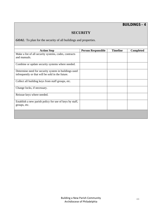# *BUILDINGS - 4*

### **SECURITY**

*GOAL*: To plan for the security of all buildings and properties.

| <b>Action Step</b>                                      | <b>Person Responsible</b> | <b>Timeline</b> | <b>Completed</b> |
|---------------------------------------------------------|---------------------------|-----------------|------------------|
| Make a list of all security systems, codes, contracts   |                           |                 |                  |
| and manuals.                                            |                           |                 |                  |
|                                                         |                           |                 |                  |
| Combine or update security systems where needed.        |                           |                 |                  |
|                                                         |                           |                 |                  |
| Determine need for security system in buildings used    |                           |                 |                  |
| infrequently or that will be sold in the future.        |                           |                 |                  |
|                                                         |                           |                 |                  |
| Collect all building keys from staff groups, etc.       |                           |                 |                  |
|                                                         |                           |                 |                  |
| Change locks, if necessary.                             |                           |                 |                  |
|                                                         |                           |                 |                  |
| Reissue keys where needed.                              |                           |                 |                  |
|                                                         |                           |                 |                  |
| Establish a new parish policy for use of keys by staff, |                           |                 |                  |
| groups, etc.                                            |                           |                 |                  |
|                                                         |                           |                 |                  |
|                                                         |                           |                 |                  |
|                                                         |                           |                 |                  |
|                                                         |                           |                 |                  |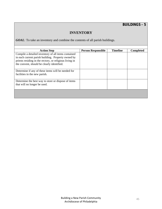# *BUILDINGS - 5*

### **INVENTORY**

*GOAL*: To take an inventory and combine the contents of all parish buildings.

| <b>Action Step</b>                                      | <b>Person Responsible</b> | <b>Timeline</b> | <b>Completed</b> |
|---------------------------------------------------------|---------------------------|-----------------|------------------|
| Compile a detailed inventory of all items contained     |                           |                 |                  |
| in each current parish building. Property owned by      |                           |                 |                  |
| priests residing in the rectory, or religious living in |                           |                 |                  |
| the convent, should be clearly identified.              |                           |                 |                  |
|                                                         |                           |                 |                  |
| Determine if any of these items will be needed for      |                           |                 |                  |
| facilities in the new parish.                           |                           |                 |                  |
|                                                         |                           |                 |                  |
| Determine the best way to store or dispose of items     |                           |                 |                  |
| that will no longer be used.                            |                           |                 |                  |
|                                                         |                           |                 |                  |
|                                                         |                           |                 |                  |
|                                                         |                           |                 |                  |
|                                                         |                           |                 |                  |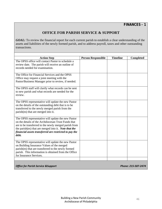### **OFFICE FOR PARISH SERVICE & SUPPORT**

*GOAL:* To review the financial report for each current parish to establish a clear understanding of the assets and liabilities of the newly formed parish, and to address payroll, taxes and other outstanding transactions.

| <b>Action Step</b>                                                                                             | <b>Person Responsible</b> | <b>Timeline</b> | Completed |
|----------------------------------------------------------------------------------------------------------------|---------------------------|-----------------|-----------|
| The OPSS office will contact Pastor to schedule a                                                              |                           |                 |           |
| review date. The parish will receive an outline of                                                             |                           |                 |           |
| records needed for examination.                                                                                |                           |                 |           |
|                                                                                                                |                           |                 |           |
| The Office for Financial Services and the OPSS                                                                 |                           |                 |           |
| Office may request a joint meeting with the                                                                    |                           |                 |           |
| Pastor/Business Manager prior to review, if needed.                                                            |                           |                 |           |
|                                                                                                                |                           |                 |           |
| The OPSS staff will clarify what records can be sent                                                           |                           |                 |           |
| to new parish and what records are needed for the                                                              |                           |                 |           |
| review.                                                                                                        |                           |                 |           |
|                                                                                                                |                           |                 |           |
| The OPSS representative will update the new Pastor                                                             |                           |                 |           |
| on the details of the outstanding debt that is to be                                                           |                           |                 |           |
| transferred to the newly merged parish from the                                                                |                           |                 |           |
| parish(es) that are merged into it.                                                                            |                           |                 |           |
|                                                                                                                |                           |                 |           |
| The OPSS representative will update the new Pastor<br>on the details of the Archdiocesan Trust Funds that      |                           |                 |           |
|                                                                                                                |                           |                 |           |
| are to be transferred to the newly merged parish from<br>the parish(es) that are merged into it. Note that the |                           |                 |           |
| financial assets transferred are restricted to pay the                                                         |                           |                 |           |
| debt.                                                                                                          |                           |                 |           |
|                                                                                                                |                           |                 |           |
| The OPSS representative will update the new Pastor                                                             |                           |                 |           |
| on Building Insurance Values of the merged                                                                     |                           |                 |           |
| parish(es) that are transferred to the newly formed                                                            |                           |                 |           |
| parish. This information is obtained from the Office                                                           |                           |                 |           |
| for Insurance Services.                                                                                        |                           |                 |           |
|                                                                                                                |                           |                 |           |
|                                                                                                                |                           |                 |           |

Office for Parish Service & Support **Contract Contract Contract Contract Contract Contract Contract Contract Contract Contract Contract Contract Contract Contract Contract Contract Contract Contract Contract Contract Contr**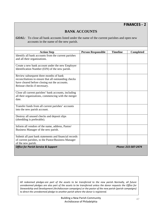## **BANK ACCOUNTS**

*GOAL*: To close all bank accounts listed under the name of the current parishes and open new accounts in the name of the new parish.

| <b>Action Step</b>                                    | <b>Person Responsible</b> | <b>Timeline</b> | <b>Completed</b>    |
|-------------------------------------------------------|---------------------------|-----------------|---------------------|
| Identify all bank accounts from the current parishes  |                           |                 |                     |
| and all their organizations.                          |                           |                 |                     |
|                                                       |                           |                 |                     |
| Create a new bank account under the new Employer      |                           |                 |                     |
| Identification Number (EIN) of the new parish.        |                           |                 |                     |
|                                                       |                           |                 |                     |
| Review subsequent three months of bank                |                           |                 |                     |
| reconciliations to ensure that all outstanding checks |                           |                 |                     |
| have cleared before closing out the accounts.         |                           |                 |                     |
| Reissue checks if necessary.                          |                           |                 |                     |
|                                                       |                           |                 |                     |
| Close all current parishes' bank accounts, including  |                           |                 |                     |
| all their organizations, commencing with the merger   |                           |                 |                     |
| date.                                                 |                           |                 |                     |
|                                                       |                           |                 |                     |
| Transfer funds from all current parishes' accounts    |                           |                 |                     |
| into the new parish account.                          |                           |                 |                     |
|                                                       |                           |                 |                     |
| Destroy all unused checks and deposit slips           |                           |                 |                     |
| (shredding is preferable).                            |                           |                 |                     |
|                                                       |                           |                 |                     |
| Inform all vendors of the name, address, Pastor/      |                           |                 |                     |
| Business Manager of the new parish.                   |                           |                 |                     |
|                                                       |                           |                 |                     |
| Submit all past bank statements and financial records |                           |                 |                     |
| of current parishes, to the Pastor/Business Manager   |                           |                 |                     |
| of the new parish.                                    |                           |                 |                     |
| <b>Office for Parish Service &amp; Support</b>        |                           |                 | Phone: 215-587-2474 |
|                                                       |                           |                 |                     |

All redeemed pledges are part of the assets to be transferred to the new parish. Normally, all future unredeemed pledges are also part of the assets to be transferred unless the donor requests the Office for *Stewardship and Development (Archdiocesan campaigns) or the pastor of the new parish (parish campaigns) to direct the unredeemed pledge to another parish where the donor is registered.*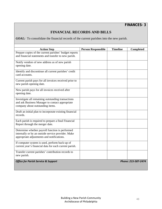### **FINANCIAL RECORDS AND BILLS**

*GOAL:* To consolidate the financial records of the current parishes into the new parish.

| <b>Action Step</b>                                                                                                                                  | <b>Person Responsible</b> | <b>Timeline</b> | <b>Completed</b>    |
|-----------------------------------------------------------------------------------------------------------------------------------------------------|---------------------------|-----------------|---------------------|
| Prepare copies of the current parishes' budget reports<br>and financial statements and transfer to new parish.                                      |                           |                 |                     |
| Notify vendors of new address as of new parish<br>opening date.                                                                                     |                           |                 |                     |
| Identify and discontinue all current parishes' credit<br>card accounts.                                                                             |                           |                 |                     |
| Current parish pays for all invoices received prior to<br>new parish opening date.                                                                  |                           |                 |                     |
| New parish pays for all invoices received after<br>opening date.                                                                                    |                           |                 |                     |
| Investigate all remaining outstanding transactions<br>and ask Business Manager to contact appropriate<br>company about outstanding items.           |                           |                 |                     |
| Draft an initial plan to incorporate existing financial<br>records.                                                                                 |                           |                 |                     |
| Each parish is required to prepare a final Financial<br>Report through the merger date.                                                             |                           |                 |                     |
| Determine whether payroll function is performed<br>internally or by an outside service provider. Make<br>appropriate adjustments and notifications. |                           |                 |                     |
| If computer system is used, perform back-up of<br>current year's financial data for each current parish.                                            |                           |                 |                     |
| Transfer current parishes' contribution records to<br>new parish.                                                                                   |                           |                 |                     |
| <b>Office for Parish Service &amp; Support</b>                                                                                                      |                           |                 | Phone: 215-587-2474 |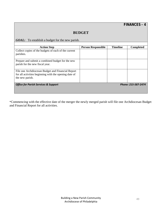# *FINANCES - 4*

### **BUDGET**

*GOAL:* To establish a budget for the new parish.

| <b>Action Step</b>                                                                                                            | <b>Person Responsible</b> | <b>Timeline</b> | <b>Completed</b> |
|-------------------------------------------------------------------------------------------------------------------------------|---------------------------|-----------------|------------------|
| Collect copies of the budgets of each of the current<br>parishes.                                                             |                           |                 |                  |
| Prepare and submit a combined budget for the new<br>parish for the new fiscal year.                                           |                           |                 |                  |
| File one Archdiocesan Budget and Financial Report<br>for all activities beginning with the opening date of<br>the new parish. |                           |                 |                  |
| Phone: 215-587-2474<br><b>Office for Parish Services &amp; Support</b>                                                        |                           |                 |                  |
|                                                                                                                               |                           |                 |                  |

\*Commencing with the effective date of the merger the newly merged parish will file one Archdiocesan Budget and Financial Report for all activities.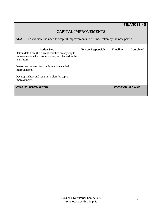### **CAPITAL IMPROVEMENTS**

*GOAL:* To evaluate the need for capital improvements to be undertaken by the new parish.

| <b>Action Step</b>                                                                                                        | <b>Person Responsible</b> | <b>Timeline</b> | <b>Completed</b> |
|---------------------------------------------------------------------------------------------------------------------------|---------------------------|-----------------|------------------|
| Obtain data from the current parishes on any capital<br>improvements which are underway or planned in the<br>near future. |                           |                 |                  |
| Determine the need for any immediate capital<br>improvements.                                                             |                           |                 |                  |
| Develop a short and long term plan for capital<br>improvements.                                                           |                           |                 |                  |
| <b>Office for Property Services</b>                                                                                       | Phone: 215-587-3560       |                 |                  |
|                                                                                                                           |                           |                 |                  |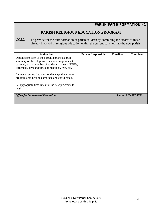*PARISH FAITH FORMATION - 1*

### **PARISH RELIGIOUS EDUCATION PROGRAM**

*GOAL:* To provide for the faith formation of parish children by combining the efforts of those already involved in religious education within the current parishes into the new parish.

| <b>Action Step</b>                                                                                                                                                                                                 | <b>Person Responsible</b> | <b>Timeline</b> | <b>Completed</b> |
|--------------------------------------------------------------------------------------------------------------------------------------------------------------------------------------------------------------------|---------------------------|-----------------|------------------|
| Obtain from each of the current parishes a brief<br>summary of the religious education program as it<br>currently exists: number of students, names of DREs,<br>catechists, days and times of meetings, fees, etc. |                           |                 |                  |
| Invite current staff to discuss the ways that current<br>programs can best be combined and coordinated.                                                                                                            |                           |                 |                  |
| Set appropriate time-lines for the new programs to<br>begin.                                                                                                                                                       |                           |                 |                  |
| <b>Office for Catechetical Formation</b>                                                                                                                                                                           | Phone: 215-587-3720       |                 |                  |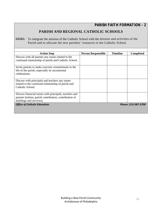*PARISH FAITH FORMATION - 2*

# **PARISH AND REGIONAL CATHOLIC SCHOOLS**

**GOAL:** To integrate the mission of the Catholic School with the mission and activities of the Parish and to allocate the new parishes' resources to the Catholic School.

| <b>Action Step</b>                                     | <b>Person Responsible</b> | <b>Timeline</b> | <b>Completed</b> |
|--------------------------------------------------------|---------------------------|-----------------|------------------|
| Discuss with all parents any issues related to the     |                           |                 |                  |
| continued relationship of parish and Catholic School.  |                           |                 |                  |
|                                                        |                           |                 |                  |
| Invite parents to make concrete commitments to the     |                           |                 |                  |
| life of the parish, especially its sacramental         |                           |                 |                  |
| celebrations.                                          |                           |                 |                  |
|                                                        |                           |                 |                  |
| Discuss with principals and teachers any issues        |                           |                 |                  |
| related to the continued relationship of parish and    |                           |                 |                  |
| Catholic School.                                       |                           |                 |                  |
|                                                        |                           |                 |                  |
| Discuss financial issues with principals, teachers and |                           |                 |                  |
| parents (tuition, parish contribution, contribution of |                           |                 |                  |
| buildings and services).                               |                           |                 |                  |
| <b>Office of Catholic Education</b>                    | Phone: 215-587-3700       |                 |                  |
|                                                        |                           |                 |                  |
|                                                        |                           |                 |                  |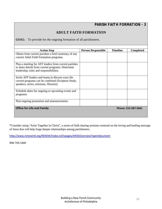# *PARISH FAITH FORMATION - 3*

### **ADULT FAITH FORMATION**

*GOAL:* To provide for the ongoing formation of all parishioners.

| <b>Action Step</b>                                   | <b>Person Responsible</b> | <b>Timeline</b> | <b>Completed</b> |
|------------------------------------------------------|---------------------------|-----------------|------------------|
| Obtain from current parishes a brief summary of any  |                           |                 |                  |
| current Adult Faith Formation programs.              |                           |                 |                  |
|                                                      |                           |                 |                  |
| Plan a meeting for AFF leaders from current parishes |                           |                 |                  |
| to share details from current programs. Determine    |                           |                 |                  |
| leadership, roles and responsibilities.              |                           |                 |                  |
|                                                      |                           |                 |                  |
| Invite AFF leaders and teams to discuss ways the     |                           |                 |                  |
| current programs can be combined (Scripture Study,   |                           |                 |                  |
| speakers, series, missions, libraries).              |                           |                 |                  |
|                                                      |                           |                 |                  |
| Schedule dates for ongoing or upcoming events and    |                           |                 |                  |
| programs.                                            |                           |                 |                  |
|                                                      |                           |                 |                  |
| Plan ongoing promotion and announcements.            |                           |                 |                  |
|                                                      |                           |                 |                  |
| <b>Office for Life and Family</b>                    | Phone: 215-587-5661       |                 |                  |
|                                                      |                           |                 |                  |
|                                                      |                           |                 |                  |

\*Consider using "Arise Together in Christ", a series of faith sharing sessions centered on the loving and healing message of Jesus that will help forge deeper relationships among parishioners.

http://www.renewintl.org/RENEW/Index.nsf/vpages/ARISEOverview?opendocument

908-769-5400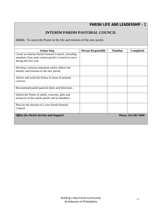### **INTERIM PARISH PASTORAL COUNCIL**

*GOAL:* To assist the Pastor in the life and mission of the new parish.

| <b>Action Step</b>                                   | <b>Person Responsible</b> | <b>Timeline</b> | <b>Completed</b>    |
|------------------------------------------------------|---------------------------|-----------------|---------------------|
| Create an Interim Parish Pastoral Council, including |                           |                 |                     |
| members from each current parish's council to serve  |                           |                 |                     |
| during the first year.                               |                           |                 |                     |
|                                                      |                           |                 |                     |
| Develop a mission statement which reflects the       |                           |                 |                     |
| identity and mission of the new parish.              |                           |                 |                     |
|                                                      |                           |                 |                     |
| Advise and assist the Pastor in areas of pastoral    |                           |                 |                     |
| concern.                                             |                           |                 |                     |
|                                                      |                           |                 |                     |
| Recommend parish pastoral plans and directions.      |                           |                 |                     |
| Inform the Pastor of needs, concerns, gifts and      |                           |                 |                     |
| resources of the whole parish and its members.       |                           |                 |                     |
|                                                      |                           |                 |                     |
| Plan for the election of a new Parish Pastoral       |                           |                 |                     |
| Council.                                             |                           |                 |                     |
|                                                      |                           |                 |                     |
| <b>Office for Parish Service and Support</b>         |                           |                 | Phone: 215-587-3848 |
|                                                      |                           |                 |                     |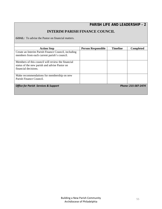### **INTERIM PARISH FINANCE COUNCIL**

*GOAL:* To advise the Pastor on financial matters.

| <b>Action Step</b>                                                                                                         | <b>Person Responsible</b> | <b>Timeline</b> | <b>Completed</b> |
|----------------------------------------------------------------------------------------------------------------------------|---------------------------|-----------------|------------------|
| Create an Interim Parish Finance Council, including<br>members from each current parish's council.                         |                           |                 |                  |
| Members of this council will review the financial<br>status of the new parish and advise Pastor on<br>financial decisions. |                           |                 |                  |
| Make recommendations for membership on new<br>Parish Finance Council.                                                      |                           |                 |                  |
| <b>Office for Parish Services &amp; Support</b>                                                                            | Phone: 215-587-2474       |                 |                  |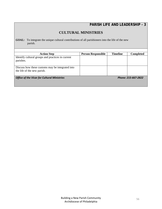### **CULTURAL MINISTRIES**

*GOAL:* To integrate the unique cultural contributions of all parishioners into the life of the new parish.

| <b>Action Step</b>                                 | <b>Person Responsible</b> | <b>Timeline</b> | <b>Completed</b>    |
|----------------------------------------------------|---------------------------|-----------------|---------------------|
| Identify cultural groups and practices in current  |                           |                 |                     |
| parishes.                                          |                           |                 |                     |
|                                                    |                           |                 |                     |
| Discuss how these customs may be integrated into   |                           |                 |                     |
| the life of the new parish.                        |                           |                 |                     |
|                                                    |                           |                 |                     |
| <b>Office of the Vicar for Cultural Ministries</b> |                           |                 | Phone: 215-667-2822 |
|                                                    |                           |                 |                     |
|                                                    |                           |                 |                     |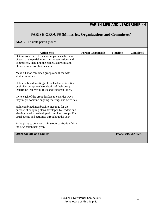# **PARISH GROUPS (Ministries, Organizations and Committees)**

*GOAL:* To unite parish groups.

| <b>Action Step</b>                                                                                       | <b>Person Responsible</b> | <b>Timeline</b> | <b>Completed</b> |
|----------------------------------------------------------------------------------------------------------|---------------------------|-----------------|------------------|
| Obtain from each of the current parishes the names                                                       |                           |                 |                  |
| of each of the parish ministries, organizations and                                                      |                           |                 |                  |
| committees, including the names, addresses and                                                           |                           |                 |                  |
| phone numbers of their leaders.                                                                          |                           |                 |                  |
| Make a list of combined groups and those with                                                            |                           |                 |                  |
| similar missions.                                                                                        |                           |                 |                  |
|                                                                                                          |                           |                 |                  |
| Hold combined meetings of the leaders of identical                                                       |                           |                 |                  |
| or similar groups to share details of their group.                                                       |                           |                 |                  |
| Determine leadership, roles and responsibilities.                                                        |                           |                 |                  |
|                                                                                                          |                           |                 |                  |
| Invite each of the group leaders to consider ways<br>they might combine ongoing meetings and activities. |                           |                 |                  |
|                                                                                                          |                           |                 |                  |
| Hold combined membership meetings for the                                                                |                           |                 |                  |
| purpose of adopting plans developed by leaders and                                                       |                           |                 |                  |
| electing interim leadership of combined groups. Plan                                                     |                           |                 |                  |
| usual events and activities throughout the year.                                                         |                           |                 |                  |
| Make plans to conduct a ministry/organization fair at                                                    |                           |                 |                  |
| the new parish next year.                                                                                |                           |                 |                  |
|                                                                                                          |                           |                 |                  |
| <b>Office for Life and Family</b>                                                                        | Phone: 215-587-5661       |                 |                  |
|                                                                                                          |                           |                 |                  |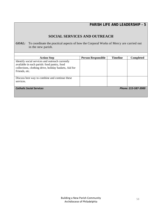### **SOCIAL SERVICES AND OUTREACH**

**GOAL:** To coordinate the practical aspects of how the Corporal Works of Mercy are carried out in the new parish.

| <b>Action Step</b>                                                                                                                                                       | <b>Person Responsible</b> | <b>Timeline</b> | <b>Completed</b> |
|--------------------------------------------------------------------------------------------------------------------------------------------------------------------------|---------------------------|-----------------|------------------|
| Identify social services and outreach currently<br>available in each parish: food pantry, food<br>collections, clothing drive, holiday baskets, Aid for<br>Friends, etc. |                           |                 |                  |
| Discuss best way to combine and continue these<br>services.                                                                                                              |                           |                 |                  |
| <b>Catholic Social Services</b><br>Phone: 215-587-3900                                                                                                                   |                           |                 |                  |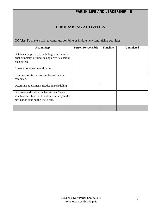### **FUNDRAISING ACTIVITIES**

**GOAL:** To make a plan to continue, combine or initiate new fundraising activities.

| <b>Action Step</b>                                                                                                                    | <b>Person Responsible</b> | <b>Timeline</b> | <b>Completed</b> |
|---------------------------------------------------------------------------------------------------------------------------------------|---------------------------|-----------------|------------------|
| Obtain a complete list, including specifics and<br>brief summary, of fund-raising activities held in<br>each parish.                  |                           |                 |                  |
| Create a combined monthly list.                                                                                                       |                           |                 |                  |
| Examine events that are similar and can be<br>combined.                                                                               |                           |                 |                  |
| Determine adjustments needed in scheduling.                                                                                           |                           |                 |                  |
| Discern and decide with Transitional Team<br>which of the above will continue initially in the<br>new parish (during the first year). |                           |                 |                  |
|                                                                                                                                       |                           |                 |                  |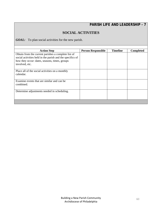### **SOCIAL ACTIVITIES**

*GOAL:*To plan social activities for the new parish.

| <b>Action Step</b>                                        | <b>Person Responsible</b> | <b>Timeline</b> | <b>Completed</b> |
|-----------------------------------------------------------|---------------------------|-----------------|------------------|
| Obtain from the current parishes a complete list of       |                           |                 |                  |
| social activities held in the parish and the specifics of |                           |                 |                  |
| how they occur: dates, seasons, times, groups             |                           |                 |                  |
| involved, etc.                                            |                           |                 |                  |
|                                                           |                           |                 |                  |
| Place all of the social activities on a monthly           |                           |                 |                  |
| calendar.                                                 |                           |                 |                  |
|                                                           |                           |                 |                  |
| Examine events that are similar and can be.               |                           |                 |                  |
| combined.                                                 |                           |                 |                  |
|                                                           |                           |                 |                  |
| Determine adjustments needed in scheduling.               |                           |                 |                  |
|                                                           |                           |                 |                  |
|                                                           |                           |                 |                  |
|                                                           |                           |                 |                  |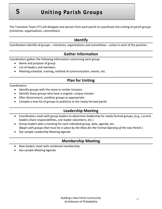The Transition Team (TT) will delegate one person from each parish to coordinate the uniting of parish groups (ministries, organizations, committees).

# **Identify**

Coordinators identify all groups – ministries, organizations and committees – active in each of the parishes.

# **Gather Information**

Coordinators gather the following information concerning each group:

- Name and purpose of group
- List of leaders and members
- Meeting schedule, training, method of communication, events, etc.

# **Plan for Uniting**

Coordinators:

- Identify groups with the same or similar missions
- Identify those groups who have a singular, unique mission
- After discernment, combine groups as appropriate
- Compile a new list of groups to publicize to the newly formed parish

# **Leadership Meeting**

- Coordinators meet with group leaders to determine leadership for newly formed groups, (e.g., current leaders share responsibilities, one leader volunteers, etc.)
- Group leaders plan a meeting for each individual group, date, agenda, etc. (Begin with groups that must be in place by the Mass for the Formal Opening of the new Parish.)
- See sample Leadership Meeting Agenda

# **Membership Meeting**

- New leaders meet with combined membership
- See sample Meeting Agenda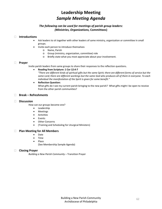# **Leadership Meeting** *Sample Meeting Agenda*

### *The following can be used for meetings of parish group leaders: (Ministries, Organizations,* **Committees)**

#### **Introductions**

- Ask leaders to sit together with other leaders of same ministry, organization or committee in small groups.
- Invite each person to introduce themselves
	- o Name, Parish
	- o Group (ministry, organization, committee) role
	- o Briefly state what you most appreciate about your involvement.

#### **Prayer**

Invite parish leaders from same groups to share their responses to the reflection questions.

#### **Reading from Scripture: 1 Cor 12:4‐7**

"There are different kinds of spiritual gifts but the same Spirit; there are different forms of service but the same Lord; there are different workings but the same God who produces all of them in everyone. To each *individual the manifestation of the Spirit is given for some benefit."*

 **Reflection Question:** What gifts do I see my current parish bringing to the new parish? What gifts might I be open to receive from the other parish communities?

#### **Break – Refreshments**

#### **Discussion**

How can our groups become one?

- **•** Leadership
- Meetings
- Activities
- Events
- Other Concerns
- (Training and Scheduling for Liturgical Ministers)

#### **Plan Meeting for All Members**

- Date
- Time
- Place

(See Membership Sample Agenda)

#### **Closing Prayer**

*Building a New Parish Community* – Transition Prayer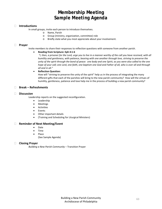# **Membership Meeting**  *Sample Meeting Agenda*

#### **Introductions**

In small groups, invite each person to introduce themselves.

- o Name, Parish
- o Group (ministry, organization, committee) role
- o Briefly state what you most appreciate about your involvement.

#### **Prayer**

Invite members to share their responses to reflection questions with someone from another parish.

#### **Reading from Scripture: Eph 4:1‐6**

"I, then, a prisoner for the Lord, urge you to live in a manner worthy of the call you have received, with all *humility and gentleness, with patience, bearing with one another through love, striving to preserve the* unity of the spirit through the bond of peace: one body and one Spirit, as you were also called to the one hope of your call; one Lord, one faith, one baptism one God and Father of all, who is over all and through *all and in all."*

#### **Reflection Question:**

How will "striving to preserve the unity of the spirit" help us in the process of integrating the many different gifts that each of the parishes will bring to the new parish community? How will the virtues of humility, gentleness, patience and love help me in the process of building a new parish community?

#### **Break – Refreshments**

#### **Discussion**

Leadership reports on the suggested reconfiguration.

- **•** Leadership
- Meetings
- **•** Activities
- Events
- Other important details
- (Training and Scheduling for Liturgical Ministers)

#### **Reminder of Next Meeting/Event**

- Date
- Time
- Place

(See Sample Agenda)

#### **Closing Prayer**

*Building a New Parish Community* – Transition Prayer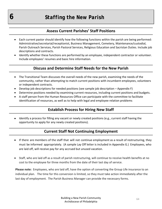*6 Staffing the New Parish* 

# **Assess Current Parishes' Staff Positions**

- Each current pastor should identify how the following functions within the parish are being performed: Administrative/secretarial/receptionist, Business Management, Cemetery, Maintenance/custodial, Parish Outreach Services, Parish Pastoral Services, Religious Education and Sacristan Duties. Include job descriptions and contracts.
- Identify whether these functions are performed by an employee, independent contractor or volunteer. Include employees' resumes and basic hire information.

### **Discuss and Determine Staff Needs for the New Parish**

- The Transitional Team discusses the overall needs of the new parish, examining the needs of the community, rather than attempting to match current positions with incumbent employees, volunteers or independent contracts.
- Develop job descriptions for needed positions (see sample job description Appendix F)
- Determine positions needed by examining current resources, including current positions and budgets.
- A staff person from the Human Resources Office can participate with the committee to facilitate identification of resources, as well as to help with legal and employee relation problems

### **Establish Process for Hiring New Staff**

 Identify a process for filling any vacant or newly created positions (e.g., current staff having the opportunity to apply for any newly created positions).

### **Current Staff Not Continuing Employment**

- If there are members of the staff that will not continue employment as a result of restructuring, they must be informed appropriately. (A sample Lay Off letter is included in Appendix G.) Employees, who are laid off, will receive pay for any accrued but unused vacation.
- Staff, who are laid off as a result of parish restructuring, will continue to receive health benefits at no cost to the employee for three months from the date of their last day of service.

**Please note:** Employees, who are laid off, have the option of converting the Group Life insurance to an individual plan. The time for this conversion is limited, so they must take action immediately after the last day of employment. The Parish Business Manager can provide the necessary forms.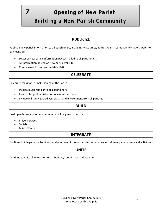# *7 Opening of New Parish Building a New Parish Community*

## **PUBLICIZE**

Publicize new parish information to all parishioners, including Mass times, address/parish contact information, web site by means of:

- Letter or new parish information packet mailed to all parishioners
- All information posted on new parish web site
- Create insert for current parish bulletins

# **CELEBRATE**

Celebrate Mass for Formal Opening of the Parish

- Include music familiar to all parishioners
- Ensure liturgical ministers represent all parishes
- Include in liturgy, sacred vessels, art and environment from all parishes

### **BUILD**

Host open house and other community building events, such as:

- Prayer services
- Socials
- Ministry fairs

### **INTEGRATE**

Continue to integrate the traditions and practices of former parish communities into all new parish events and activities.

### **UNITE**

Continue to unite all ministries, organizations, committees and activities.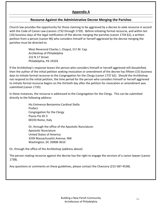### **Appendix A**

### **Recourse Against the Administrative Decree Merging the Parishes**

Church law provides the opportunity for those claiming to be aggrieved by a decree to seek recourse in accord with the Code of Canon Law (canons 1732 through 1739). Before initiating formal recourse, and within ten (10) business days of the legal notification of the decree merging the parishes (canon 1734 §2), a written petition from a person (canon 96) who considers himself or herself aggrieved by the decree merging the parishes must be directed to:

> Most Reverend Charles J. Chaput, O.F.M. Cap. Archbishop of Philadelphia 222 N 17 Street Philadelphia, PA 19103

If the Archbishop's response leaves the person who considers himself or herself aggrieved still dissatisfied, then the author of the initial petition seeking revocation or amendment of the decree has fifteen (15) business days to initiate formal recourse to the Congregation for the Clergy (canon 1737 §2). Should the Archbishop not respond to the initial petition, the time period for the person who considers himself or herself aggrieved to initiate formal recourse begins on the thirtieth day after the petition for revocation or amendment was submitted (canon 1735).

In these instances, the recourse is addressed to the Congregation for the Clergy. This can be submitted directly to the following address:

> His Eminence Beniamino Cardinal Stella Prefect Congregation for the Clergy Piazza Pio XII 3 00193 Rome, Italy

 Or, through the office of the Apostolic Nunciature: Apostolic Nunciature United States of America 3339 Massachusetts Avenue, NW Washington, DC 20008‐3610

Or, through the office of the Archbishop (address above)

The person making recourse against the decree has the right to engage the services of a canon lawyer (canon 1738).

Any questions or comments on these guidelines, please contact the Chancery (215‐587‐4538).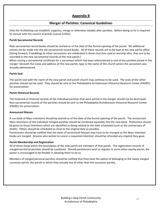### **Appendix B**

### **Merger of Parishes: Canonical Guidelines**

Only the Archbishop can establish, suppress, merge or otherwise notably alter parishes. Before doing so he is required to consult with the council of priests (canon 515§2).

### **Parish Sacramental Records**

New sacramental record books should be started as of the date of the formal opening of the parish. No additional entries are be made into the old sacramental record books. All of these records are to be kept at the new parish office. (Going forward, if weddings or other sacraments are celebrated in those churches used as worship sites, they are to be recorded in the new sacramental records of the new parish.)

When issuing a sacramental certificate for a sacrament which had been administered in one of the parishes joined in the merger: beneath the name and address of the new parish, type in the name of the church where the sacrament was actually administered.

### **Parish Seal**

The parish seal with the name of the new parish and parish church may continue to be used. The seals of the other parishes should not be used. They should be sent to the Philadelphia Archdiocesan Historical Research Center (PAHRC) for preservation.

### **Parish Historical Records**

The historical or financial records of the individual parishes that were joined in the merger should not be destroyed. Non‐sacramental records of the parishes should be sent to the Philadelphia Archdiocesan Historical Research Center (PAHRC) for preservation.

### **Announced Masses**

A new book of Mass intentions should be started as of the date of the formal opening of the parish. The announced Mass intentions of the individual merged parishes should be combined equitably into the new book. Preference should be given to those intentions which are identified as being related to the date scheduled (such as the anniversary of death). Others should be scheduled as close to the original date as possible.

Parishioners should be notified that the dates of announced Masses may have to be changed as the Mass Intention books are merged. Anyone who wishes to cancel a requested intention should be refunded any stipend they gave.

### **Parish Membership and Registration**

All of those living within the boundaries of the new parish are members of that parish. The registration records of merged territorial parishes should be combined. Should parishioners wish to register in some other nearby parish, the pastor is encouraged to be flexible in allowing them to do so.

Members of merged personal parishes should be notified that they have the option of belonging to the newly merged successor parish, the parish in which they actually live (if other than the successor parish),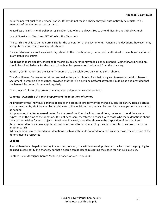### **Appendix B continued**

or in the nearest qualifying personal parish. If they do not make a choice they will automatically be registered as members of the merged successor parish.

Regardless of parish membership or registration, Catholics are always free to attend Mass in any Catholic Church.

### **Use of Non‐Parish Churches** (AKA Worship Site Churches)

The parish church is to be the normal site for the celebration of the Sacraments. Funerals and devotions, however, may always be celebrated in a worship site church.

On special occasions, such as a feast day related to the church patron, the pastor is authorized to have Mass celebrated in a worship site church.

Weddings that are already scheduled for worship site churches may take place as planned. Going forward, weddings should be scheduled only for the parish church, unless permission is obtained from the chancery.

Baptism, Confirmation and the Easter Triduum are to be celebrated only in the parish church.

The Most Blessed Sacrament must be reserved in the parish church. Permission is given to reserve the Most Blessed Sacrament in worship site churches, provided that there is a genuine pastoral advantage in doing so and provided that the Blessed Sacrament is renewed regularly.

The names of all churches are to be maintained, unless otherwise determined.

### **Canonical Ownership of Parish Property and the Intentions of Donors**

All property of the individual parishes becomes the canonical property of the merged successor parish. Items (such as ciboria, vestments, etc.) donated by parishioners of the individual parishes can be used by the merged successor parish as needed.

It is presumed that items were donated for the use of the Church without conditions, unless such conditions were expressed at the time of the donation. It is not necessary, therefore, to consult with those who made donations about their current wishes for such objects. Sensitivity, however, should be shown in the disposition of donated items. Items donated for use in worship should not be returned to the donor. They may, however, be transferred for use in another parish.

When conditions were placed upon donations, such as with funds donated for a particular purpose, the intention of the donors must be respected.

### **Chapels**

Should there be a chapel or oratory in a rectory, convent, or a within a worship site church which is no longer going to be used, please notify the chancery so that a decree can be issued relegating the space for non-religious use.

Contact: Rev. Monsignor Gerard Mesure, Chancellor**….**215‐587‐4538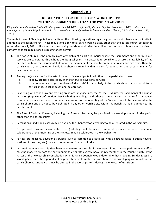### **Appendix B‐1**

### **REGULATIONS FOR THE USE OF A WORSHIP SITE WITHIN A PARISH OTHER THAN THE PARISH CHURCH**

[Originally promulgated by Cardinal Bevilacqua on June 28, 2000; confirmed by Cardinal Rigali on November 1, 2006; revised and promulgated by Cardinal Rigali on June 3, 2011; revised and promulgated by Archbishop Charles J. Chaput, O.F.M. Cap. on March 12, *2012*.]

The Archdiocese of Philadelphia has established the following regulations regarding parishes which have a worship site in addition to the parish church. These regulations apply to all parish worship sites, other than the parish church, established on or after July 1, 2011. All other parishes having parish worship sites in addition to the parish church are to strive to conform to these regulations as circumstances permit.

- 1. The parish church is the primary place of worship of a particular parish where the sacraments and other religious services are celebrated throughout the liturgical year. The pastor is responsible to assure the availability of the parish church for the sacramental life of all the members of the parish community. A worship site other than the parish church, on the other hand, is a church situated within a parish's boundaries and used primarily for devotional services.
- 2. Among the just causes for the establishment of a worship site in addition to the parish church are:
	- a. to allow greater accessibility of the faithful to devotional services;
	- b. to accommodate larger numbers of the faithful, particularly if the parish church is too small for a particular liturgical or devotional celebration.
- 3. In keeping with canon law and existing archdiocesan guidelines, the Paschal Triduum, the sacraments of Christian Initiation (Baptism, Confirmation, first Eucharist), weddings, and other sacramental rites (including first Penance, communal penance services, communal celebrations of the Anointing of the Sick, etc.) are to be celebrated in the parish church and are not to be celebrated in any other worship site within the parish that is in addition to the parish church.
- 4. The Rite of Christian Funerals, including the Funeral Mass, may be permitted in a worship site within the parish other than the parish church.
- 5. Permission in individual cases may be given by the Chancery for a wedding to be celebrated in the worship site.
- 6. For pastoral reasons, sacramental rites (including first Penance, communal penance services, communal celebrations of the Anointing of the Sick, etc.) may be celebrated in the worship site.
- 7. For pastoral reasons, devotional services (such as ceremonies associated with a patronal feast, a public novena, stations of the cross, etc.) may also be permitted in a worship site.
- 8. In situations where worship sites have been created as a result of the merger of two or more parishes, every effort must be made to prepare the parishioners to celebrate every Sunday Liturgy together in the Parish Church. If the Pastor of the new parish in consultation with his Parish Councils would determine that providing Sunday Mass in a Worship Site for a short period will help parishioners to make the transition to one worshiping community in the parish Church, Sunday Mass may be offered in the Worship Site(s) during the one year of transition.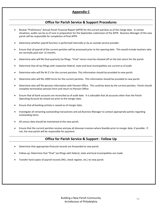### **Appendix C**

### **Office for Parish Service & Support Procedures**

- Review "Preliminary" Annual Parish Financial Report (APFR) for the current parishes as of the merge date. In certain situations, audits can be as of June in preparation for the September submission of the APFR. Business Manager of the new parish will be responsible for completion of final APFR.
- Determine whether payroll function is performed internally or by an outside service provider.
- Ensure that all payroll of the current parishes will be processed prior to the opening date. This would include teachers who are normally paid over 12 months.
- Determine who will file final quarterly tax filings. "Final" return must be checked off on the last return for the parish.
- Determine that all tax filings with respective federal, state and local municipalities are current as of audit.
- Determine who will file W‐2's for the current parishes. This information should be provided to new parish.
- Determine who will file 1099 Forms for the current parishes. This information should be provided to new parish.
- Determine who will file pension information with Pension Office. This could be done by the current parishes. Parish should complete termination pension form and return to Pension Office.
- Ensure that all bank accounts are reconciled as of audit date. It is advisable that all accounts other than the Parish Operating Account be closed out prior to the merger date.
- Ensure that all banking activity is ceased as of merger date.
- Investigate all remaining outstanding transactions and ask Business Manager to contact appropriate parties regarding outstanding items.
- All census data should be maintained at the new parish.
- Ensure that the current parishes receive and pay all diocesan invoices where feasible prior to merger date, if possible. If not, the new parish will be responsible for payment.

### **Office for Parish Service & Support ‐ Follow Up**

- Determine that appropriate financial records are forwarded to new parish.
- Follow‐up: Determine that "final" tax filings with federal, state and local municipalities are made.
- Transfer hard copies of payroll records (941, check register, etc.) to new parish.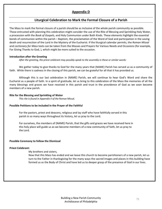### **Appendix D**

### **Liturgical Celebration to Mark the Formal Closure of a Parish**

The Mass to mark the formal closure of a parish should be as inclusive of the whole parish community as possible. Those entrusted with planning this celebration might consider the use of the Rite of Blessing and Sprinkling Holy Water, a procession with the *Book of Gospels,* and Holy Communion under Both Kinds. These elements highlight the essential bonds of communion within the parish – Baptism, the proclamation of the Word of God and participation in the saving death and resurrection of the Lord in the Mystery of the Eucharist. If the liturgical calendar permits, the *Roman Missal* and *Lectionary for Mass* texts can be taken from the Masses and Prayers for Various Needs and Occasions (for example, For Giving Thanks to God, ), which might be more suited to the occasion.

#### **Introduction after the Greeting**

*After the greeting, the priest celebrant may possibly speak to the assembly in these or similar words:*

We gather today to give thanks to God for the many years that (NAME) Parish has served us as a community of faith. While there is sadness in the closing of this parish, we can be grateful for all that it has provided us.

Although this is our last celebration in (NAME) Parish, we will continue to hear God's Word and share the Eucharist as a people of faith. In a spirit of gratitude, let us bring to this celebration of the Mass the memories of all the many blessings and graces we have received in this parish and trust in the providence of God as we soon become members of a new parish.

#### **Rite for the Blessing and Sprinkling of Water**

*This rite is found in Appendix II of the* Roman Missal.

#### **Possible Petitions to be included in the Prayer of the Faithful**

For the pastors, priest and deacons, religious and lay staff who have faithfully served in this parish in so many ways throughout its history, let us pray to the Lord.

For ourselves, the members of (NAME) Parish, that the gifts and graces we have received here in this holy place will guide us as we become members of a new community of faith, let us pray to the Lord.

#### **Possible Ceremony to follow the Dismissal**

#### **Priest Celebrant:**

My brothers and sisters,

Now that this Mass has ended and we leave this church to become parishioners of a new parish, let us turn to the Father in thanksgiving for the many ways the sacred images and places in this building have formed us as the Body of Christ and have led us to deeper grasp of the presence of God in our lives.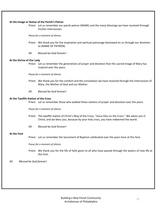#### **At the Image or Statue of the Parish's Patron**

Priest: Let us remember our parish patron (NAME) and the many blessings we have received through his/her intercession.

*Pause for a moment of silence.*

- Priest: We thank you for the inspiration and spiritual patronage bestowed on us through our devotion to (NAME OF PATRON).
- All: Blessed be God forever!

#### **At the Shrine of Our Lady**

Priest: Let us remember the generations of prayer and devotion that this sacred image of Mary has inspired over the years.

*Pause for a moment of silence.*

- Priest: We thank you for the comfort and the consolation we have received through the intercession of Mary, the Mother of God and our Mother.
- All: Blessed be God forever!

#### **At the Twelfth Station of the Cross**

Priest: Let us remember those who walked these stations of prayer and devotion over the years.

*Pause for a moment of silence.*

- Priest: The twelfth station of Christ's Way of the Cross, "Jesus Dies on the Cross." We adore you O Christ, and we bless you, because by your holy cross, you have redeemed the world.
- All: Blessed be God forever!

#### **At the Font**

Priest: Let us remember the Sacrament of Baptism celebrated over the years here at this font.

*Pause for a moment of silence.*

Priest: We thank you for the life of faith given to all who have passed through the waters of new life at this font.

#### All: *Blessed be God forever!*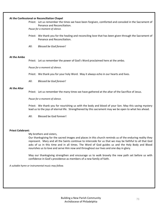#### **At the Confessional or Reconciliation Chapel**

Priest: Let us remember the times we have been forgiven, comforted and consoled in the Sacrament of Penance and Reconciliation.

*Pause for a moment of silence.*

- Priest: We thank you for the healing and reconciling love that has been given through the Sacrament of Penance and Reconciliation.
- All: *Blessed be God forever!*

#### **At the Ambo**

Priest: Let us remember the power of God's Word proclaimed here at the ambo.

*Pause for a moment of silence.*

Priest: We thank you for your holy Word. May it always echo in our hearts and lives.

All: *Blessed be God forever!*

#### **At the Altar**

Priest: Let us remember the many times we have gathered at the altar of the Sacrifice of Jesus.

*Pause for a moment of silence.*

Priest: We thank you for nourishing us with the body and blood of your Son. May this saving mystery lead us to the joys of eternal life. Strengthened by this sacrament may we be open to what lies ahead.

All: Blessed be God forever!

### **Priest Celebrant:**

My brothers and sisters,

Our thanksgiving for the sacred images and places in this church reminds us of the enduring reality they represent. Mary and all the Saints continue to intercede for us that we may be faithful to all that God asks of us in this time and in all times. The Word of God guides us and the Holy Body and Blood nourishes us to love and serve Him now and throughout our lives and one day in glory.

May our thanksgiving strengthen and encourage us to walk bravely the new path set before us with confidence in God's providence as members of a new family of faith.

*A suitable hymn or instrumental music may follow.*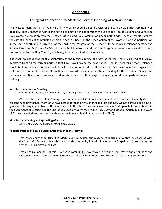# **Appendix E**

# **Liturgical Celebration to Mark the Formal Opening of a New Parish**

The Mass to mark the formal opening of a new parish should be as inclusive of the whole new parish community as possible. Those entrusted with planning this celebration might consider the use of the Rite of Blessing and Sprinkling Holy Water, a procession with the *Book of Gospels*, and Holy Communion under Both Kinds. These elements highlight the essential bonds of communion within the parish – Baptism, the proclamation of the Word of God and participation in the saving death and resurrection of the Lord in the Mystery of the Eucharist. If the liturgical calendar permits, the *Roman Missal* and *Lectionary for Mass* texts can be taken from the Masses and Prayers for Various Needs and Occasions (for example, For the Holy Church), which might be more suited to the occasion.

It is most important that for this celebration of the formal opening of a new parish that there is a blend of liturgical ministries from all the former parishes that have now become the new parish. The liturgical music that is planned should be familiar to all those assembled for the celebration of Mass. Hospitality on this occasion includes signage for rest rooms and other directional information for those who may be in the church building for the first time. Finally, and perhaps a sensitive point, greeters and ushers should assist with arranging for seating for all in all parts of the church building.

# **Introduction after the Greeting**

*After the greeting, the priest celebrant might possibly speak to the assembly in these or similar words:*

We assemble for this first Sunday as a community of faith in our new parish to give thanks to Almighty God for his continued providence. Many of us have passed through a time of grief and loss and now we have arrived at a time of grace and blessing as members of this new parish. In this church, we find a new unity as God's people from our bonds in the Sacraments of Baptism and the Eucharist, especially as we receive the Holy Body and Blood of Christ. May the Word of God today and always form and guide us as the family of faith in the parish of (NAME).

#### **Rites for the Blessing and Sprinkling of Water**

*This rite is found in Appendix II of the* Roman Missal*.*

#### **Possible Petitions to be included in the Prayer of the Faithful**

That Monsignor/Father (NAME PASTOR), our new pastor, our deacons, religious and lay staff may be filled with the fire of God's love to lead this new parish community in faith, fidelity to the Gospel, and in service to one another. Let us pray to the Lord.

That all of us, members of this new parish community, may rejoice in hearing God's Word and celebrating the Sacraments and become stronger witnesses to Christ in his Church and in the world. Let us pray to the Lord.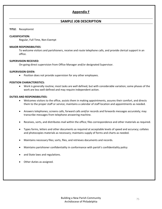# **Appendix F**

# **SAMPLE JOB DESCRIPTION**

### **TITLE**: Receptionist

### **CLASSIFICATION:**

Regular, Full Time, Non‐Exempt

#### **MAJOR RESPONSIBILITIES**:

To welcome visitors and parishioners, receive and route telephone calls, and provide clerical support in an office.

### **SUPERVISION RECEIVED**:

On‐going direct supervision from Office Manager and/or designated Supervisor.

#### **SUPERVISION GIVEN:**

Position does not provide supervision for any other employees.

#### **POSITION CHARACTERISTICS:**

 Work is generally routine; most tasks are well defined, but with considerable variation; some phases of the work are less well-defined and may require independent action.

#### **DUTIES AND RESPONSIBILITIES:**

- Welcomes visitors to the office, assists them in making appointments, assures their comfort, and directs them to the proper staff or service; maintains a calendar of staff location and appointments as needed.
- Answers telephones; screens calls, forward calls and/or records and forwards messages accurately; may transcribe messages from telephone answering machine.
- Receives, sorts, and distributes mail within the office; files correspondence and other materials as required.
- Types forms, letters and other documents as required at acceptable levels of speed and accuracy; collates and photocopies materials as necessary; maintains supply of forms and charts as needed.
- Maintains necessary files; sorts, files, and retrieves documents and records.
- Maintains parishioner confidentiality in conformance with parish's confidentiality policy
- and State laws and regulations.
- Other duties as assigned.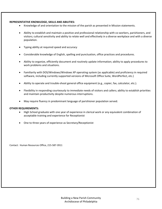#### **REPRESENTATIVE KNOWLEDGE, SKILLS AND ABILITIES:**

- Knowledge of and orientation to the mission of the parish as presented in Mission statements.
- Ability to establish and maintain a positive and professional relationship with co-workers, parishioners, and visitors; cultural sensitivity and ability to relate well and effectively in a diverse workplace and with a diverse population.
- Typing ability at required speed and accuracy
- Considerable knowledge of English, spelling and punctuation, office practices and procedures.
- Ability to organize, efficiently document and routinely update information; ability to apply procedures to work problems and situations.
- Familiarity with DOS/Windows/Windows XP operating system (as applicable) and proficiency in required software, including currently supported versions of Microsoft Office Suite, WordPerfect, etc.)
- Ability to operate and trouble-shoot general office equipment (e.g., copier, fax, calculator, etc.).
- Flexibility in responding courteously to immediate needs of visitors and callers; ability to establish priorities and maintain productivity despite numerous interruptions.
- May require fluency in predominant language of parishioner population served.

#### **OTHER REQUIREMENTS:**

- High School graduate with one year of experience in clerical work or any equivalent combination of acceptable training and experience for Receptionist
- One to three years of experience as Secretary/Receptionist

Contact: Human Resources Office, 215‐587‐3911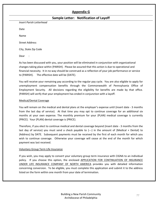# **Appendix G**

# **Sample Letter: Notification of Layoff**

*Insert Parish Letterhead*

Date

Name

Street Address

City, State Zip Code

Dear :

As has been discussed with you, your position will be eliminated in conjunction with organizational changes taking place within {PARISH}. Please be assured that this action is due to operational and financial necessity. It in no way should be construed as a reflection of your job performance or service to {PARISH}. The effective date will be {DATE}.

You will receive your remaining pay according to the regular pay cycle. You are also eligible to apply for unemployment compensation benefits through the Commonwealth of Pennsylvania Office of Employment Security. All decisions regarding the eligibility for benefits are made by that office. {PARISH} will verify that your employment has ended in conjunction with a layoff.

# Medical/Dental Coverage

You will remain on the medical and dental plans at the employer's expense until {insert date ‐ 3 months from the last day of service}. At that time you may opt to continue coverage for an additional six months at your own expense. The monthly premium for your {PLAN} medical coverage is currently {PRICE}. Your {PLAN} dental coverage is {PRICE}.

Therefore, if you elect to continue medical and dental coverage beyond {insert date ‐ 3 months from the last day of service} you must send a check payable to {---} in the amount of {Medical + Dental} to {Address} by DATE. Subsequent payments must be received by the first of each month for which you wish to continue coverage. Otherwise your coverage will cease at the end of the month for which payment was last received.

# Voluntary Group Term Life Insurance

If you wish, you may apply to convert your voluntary group term insurance with CIGNA to an individual policy. If you choose this option, the enclosed APPLICATION FOR CONTINUATION OF INSURANCE UNDER LIFE INSURANCE COMPANY OF NORTH AMERICA provides you with detailed information concerning conversion. To be eligible, you must complete this application and submit it to the address listed on the form within one month from your date of termination.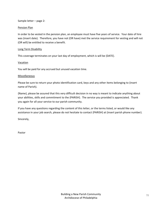Sample letter – page 2:

# Pension Plan

In order to be vested in the pension plan, an employee must have five years of service. Your date of hire was (insert date). Therefore, you have not (OR have) met the service requirement for vesting and will not (OR will) be entitled to receive a benefit.

# Long Term Disability

This coverage terminates on your last day of employment, which is will be {DATE}.

# Vacation

You will be paid for any accrued but unused vacation time.

# Miscellaneous

Please be sure to return your photo identification card, keys and any other items belonging to (insert name of Parish).

{Name}, please be assured that this very difficult decision in no way is meant to indicate anything about your abilities, skills and commitment to the {PARISH}. The service you provided is appreciated. Thank you again for all your service to our parish community.

If you have any questions regarding the content of this letter, or the terms listed, or would like any assistance in your job search, please do not hesitate to contact {PARISH} at (insert parish phone number).

Sincerely,

Pastor